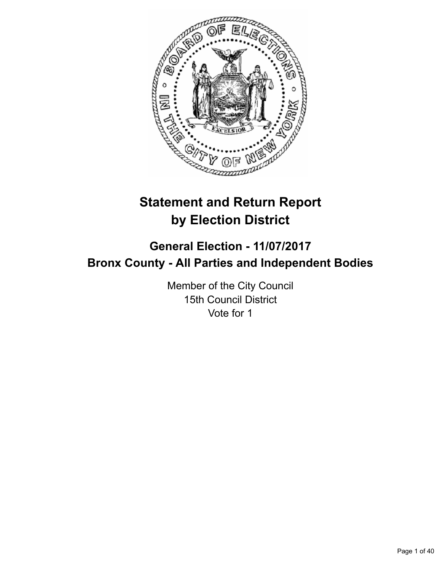

# **Statement and Return Report by Election District**

# **General Election - 11/07/2017 Bronx County - All Parties and Independent Bodies**

Member of the City Council 15th Council District Vote for 1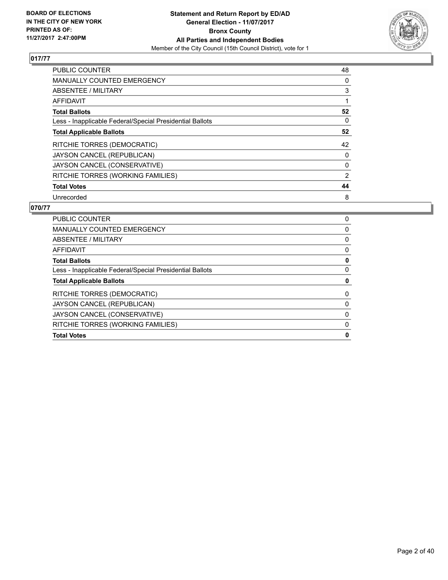

| <b>PUBLIC COUNTER</b>                                    | 48 |
|----------------------------------------------------------|----|
| <b>MANUALLY COUNTED EMERGENCY</b>                        | 0  |
| ABSENTEE / MILITARY                                      | 3  |
| <b>AFFIDAVIT</b>                                         |    |
| <b>Total Ballots</b>                                     | 52 |
| Less - Inapplicable Federal/Special Presidential Ballots | 0  |
| <b>Total Applicable Ballots</b>                          | 52 |
| RITCHIE TORRES (DEMOCRATIC)                              | 42 |
| JAYSON CANCEL (REPUBLICAN)                               | 0  |
| JAYSON CANCEL (CONSERVATIVE)                             | 0  |
| RITCHIE TORRES (WORKING FAMILIES)                        | 2  |
| <b>Total Votes</b>                                       | 44 |
| Unrecorded                                               | 8  |

| <b>PUBLIC COUNTER</b>                                    | 0        |
|----------------------------------------------------------|----------|
| <b>MANUALLY COUNTED EMERGENCY</b>                        | 0        |
| ABSENTEE / MILITARY                                      | 0        |
| AFFIDAVIT                                                | 0        |
| <b>Total Ballots</b>                                     | 0        |
| Less - Inapplicable Federal/Special Presidential Ballots | $\Omega$ |
| <b>Total Applicable Ballots</b>                          | 0        |
| RITCHIE TORRES (DEMOCRATIC)                              | 0        |
| JAYSON CANCEL (REPUBLICAN)                               | 0        |
| JAYSON CANCEL (CONSERVATIVE)                             | 0        |
| RITCHIE TORRES (WORKING FAMILIES)                        | 0        |
| <b>Total Votes</b>                                       | 0        |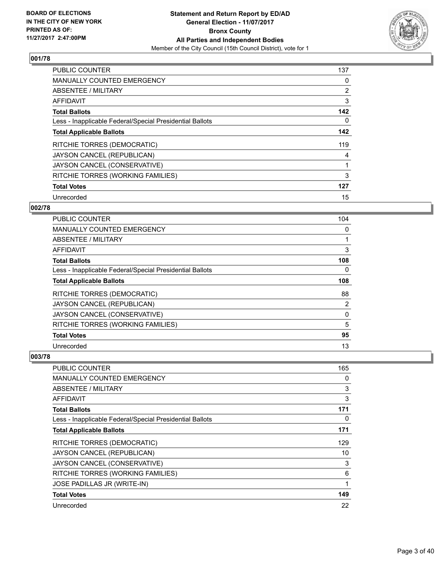

| PUBLIC COUNTER                                           | 137 |
|----------------------------------------------------------|-----|
| <b>MANUALLY COUNTED EMERGENCY</b>                        | 0   |
| ABSENTEE / MILITARY                                      | 2   |
| <b>AFFIDAVIT</b>                                         | 3   |
| <b>Total Ballots</b>                                     | 142 |
| Less - Inapplicable Federal/Special Presidential Ballots | 0   |
| <b>Total Applicable Ballots</b>                          | 142 |
| RITCHIE TORRES (DEMOCRATIC)                              | 119 |
| JAYSON CANCEL (REPUBLICAN)                               | 4   |
| JAYSON CANCEL (CONSERVATIVE)                             |     |
| RITCHIE TORRES (WORKING FAMILIES)                        | 3   |
| <b>Total Votes</b>                                       | 127 |
| Unrecorded                                               | 15  |

#### **002/78**

| PUBLIC COUNTER                                           | 104 |
|----------------------------------------------------------|-----|
| MANUALLY COUNTED EMERGENCY                               | 0   |
| ABSENTEE / MILITARY                                      |     |
| AFFIDAVIT                                                | 3   |
| <b>Total Ballots</b>                                     | 108 |
| Less - Inapplicable Federal/Special Presidential Ballots | 0   |
| <b>Total Applicable Ballots</b>                          | 108 |
| <b>RITCHIE TORRES (DEMOCRATIC)</b>                       | 88  |
| JAYSON CANCEL (REPUBLICAN)                               | 2   |
| JAYSON CANCEL (CONSERVATIVE)                             | 0   |
| RITCHIE TORRES (WORKING FAMILIES)                        | 5   |
| <b>Total Votes</b>                                       | 95  |
| Unrecorded                                               | 13  |

| PUBLIC COUNTER                                           | 165 |
|----------------------------------------------------------|-----|
| <b>MANUALLY COUNTED EMERGENCY</b>                        | 0   |
| ABSENTEE / MILITARY                                      | 3   |
| AFFIDAVIT                                                | 3   |
| <b>Total Ballots</b>                                     | 171 |
| Less - Inapplicable Federal/Special Presidential Ballots | 0   |
| <b>Total Applicable Ballots</b>                          | 171 |
| RITCHIE TORRES (DEMOCRATIC)                              | 129 |
| JAYSON CANCEL (REPUBLICAN)                               | 10  |
| JAYSON CANCEL (CONSERVATIVE)                             | 3   |
| RITCHIE TORRES (WORKING FAMILIES)                        | 6   |
| JOSE PADILLAS JR (WRITE-IN)                              | 1   |
| <b>Total Votes</b>                                       | 149 |
| Unrecorded                                               | 22  |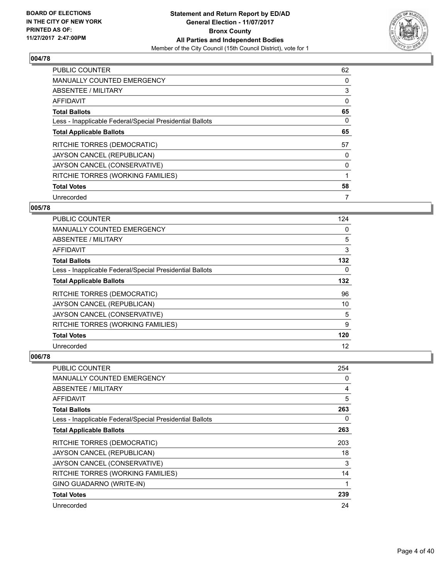

| <b>PUBLIC COUNTER</b>                                    | 62 |
|----------------------------------------------------------|----|
| <b>MANUALLY COUNTED EMERGENCY</b>                        | 0  |
| ABSENTEE / MILITARY                                      | 3  |
| <b>AFFIDAVIT</b>                                         | 0  |
| <b>Total Ballots</b>                                     | 65 |
| Less - Inapplicable Federal/Special Presidential Ballots | 0  |
| <b>Total Applicable Ballots</b>                          | 65 |
| RITCHIE TORRES (DEMOCRATIC)                              | 57 |
| JAYSON CANCEL (REPUBLICAN)                               | 0  |
| JAYSON CANCEL (CONSERVATIVE)                             | 0  |
| RITCHIE TORRES (WORKING FAMILIES)                        | 1  |
| <b>Total Votes</b>                                       | 58 |
| Unrecorded                                               | 7  |

# **005/78**

| <b>PUBLIC COUNTER</b>                                    | 124 |
|----------------------------------------------------------|-----|
| MANUALLY COUNTED EMERGENCY                               | 0   |
| ABSENTEE / MILITARY                                      | 5   |
| AFFIDAVIT                                                | 3   |
| <b>Total Ballots</b>                                     | 132 |
| Less - Inapplicable Federal/Special Presidential Ballots | 0   |
| <b>Total Applicable Ballots</b>                          | 132 |
| RITCHIE TORRES (DEMOCRATIC)                              | 96  |
| JAYSON CANCEL (REPUBLICAN)                               | 10  |
| JAYSON CANCEL (CONSERVATIVE)                             | 5   |
| RITCHIE TORRES (WORKING FAMILIES)                        | 9   |
| <b>Total Votes</b>                                       | 120 |
| Unrecorded                                               | 12  |

| <b>PUBLIC COUNTER</b>                                    | 254 |
|----------------------------------------------------------|-----|
| <b>MANUALLY COUNTED EMERGENCY</b>                        | 0   |
| ABSENTEE / MILITARY                                      | 4   |
| AFFIDAVIT                                                | 5   |
| <b>Total Ballots</b>                                     | 263 |
| Less - Inapplicable Federal/Special Presidential Ballots | 0   |
| <b>Total Applicable Ballots</b>                          | 263 |
| RITCHIE TORRES (DEMOCRATIC)                              | 203 |
| JAYSON CANCEL (REPUBLICAN)                               | 18  |
| JAYSON CANCEL (CONSERVATIVE)                             | 3   |
| RITCHIE TORRES (WORKING FAMILIES)                        | 14  |
| GINO GUADARNO (WRITE-IN)                                 | 1   |
| <b>Total Votes</b>                                       | 239 |
| Unrecorded                                               | 24  |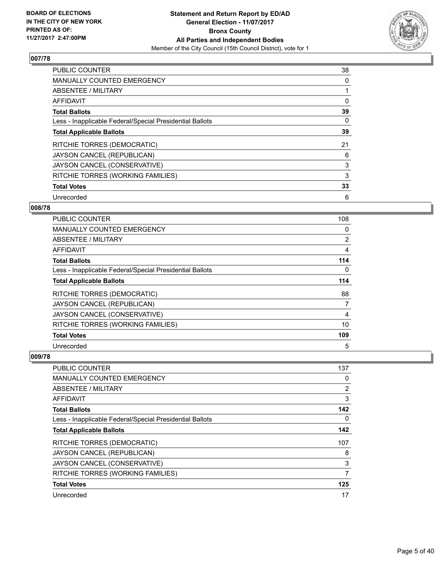

| <b>PUBLIC COUNTER</b>                                    | 38 |
|----------------------------------------------------------|----|
| <b>MANUALLY COUNTED EMERGENCY</b>                        | 0  |
| ABSENTEE / MILITARY                                      |    |
| <b>AFFIDAVIT</b>                                         | 0  |
| <b>Total Ballots</b>                                     | 39 |
| Less - Inapplicable Federal/Special Presidential Ballots | 0  |
| <b>Total Applicable Ballots</b>                          | 39 |
| RITCHIE TORRES (DEMOCRATIC)                              | 21 |
| JAYSON CANCEL (REPUBLICAN)                               | 6  |
| JAYSON CANCEL (CONSERVATIVE)                             | 3  |
| RITCHIE TORRES (WORKING FAMILIES)                        | 3  |
| <b>Total Votes</b>                                       | 33 |
| Unrecorded                                               | 6  |

# **008/78**

| <b>PUBLIC COUNTER</b>                                    | 108            |
|----------------------------------------------------------|----------------|
| MANUALLY COUNTED EMERGENCY                               | 0              |
| ABSENTEE / MILITARY                                      | $\overline{2}$ |
| AFFIDAVIT                                                | 4              |
| <b>Total Ballots</b>                                     | 114            |
| Less - Inapplicable Federal/Special Presidential Ballots | 0              |
| <b>Total Applicable Ballots</b>                          | 114            |
| RITCHIE TORRES (DEMOCRATIC)                              | 88             |
| JAYSON CANCEL (REPUBLICAN)                               | 7              |
| JAYSON CANCEL (CONSERVATIVE)                             | 4              |
| RITCHIE TORRES (WORKING FAMILIES)                        | 10             |
| <b>Total Votes</b>                                       | 109            |
| Unrecorded                                               | 5              |

| PUBLIC COUNTER                                           | 137            |
|----------------------------------------------------------|----------------|
| <b>MANUALLY COUNTED EMERGENCY</b>                        | 0              |
| ABSENTEE / MILITARY                                      | $\overline{2}$ |
| AFFIDAVIT                                                | 3              |
| <b>Total Ballots</b>                                     | 142            |
| Less - Inapplicable Federal/Special Presidential Ballots | 0              |
| <b>Total Applicable Ballots</b>                          | 142            |
| <b>RITCHIE TORRES (DEMOCRATIC)</b>                       | 107            |
| JAYSON CANCEL (REPUBLICAN)                               | 8              |
| JAYSON CANCEL (CONSERVATIVE)                             | 3              |
| RITCHIE TORRES (WORKING FAMILIES)                        | 7              |
| <b>Total Votes</b>                                       | 125            |
| Unrecorded                                               | 17             |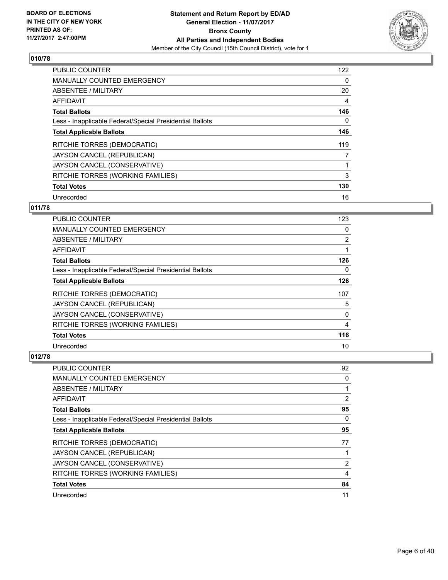

| PUBLIC COUNTER                                           | 122 |
|----------------------------------------------------------|-----|
| <b>MANUALLY COUNTED EMERGENCY</b>                        | 0   |
| ABSENTEE / MILITARY                                      | 20  |
| <b>AFFIDAVIT</b>                                         | 4   |
| <b>Total Ballots</b>                                     | 146 |
| Less - Inapplicable Federal/Special Presidential Ballots | 0   |
| <b>Total Applicable Ballots</b>                          | 146 |
| RITCHIE TORRES (DEMOCRATIC)                              | 119 |
| JAYSON CANCEL (REPUBLICAN)                               | 7   |
| JAYSON CANCEL (CONSERVATIVE)                             |     |
| RITCHIE TORRES (WORKING FAMILIES)                        | 3   |
| <b>Total Votes</b>                                       | 130 |
| Unrecorded                                               | 16  |

# **011/78**

| <b>PUBLIC COUNTER</b>                                    | 123            |
|----------------------------------------------------------|----------------|
| <b>MANUALLY COUNTED EMERGENCY</b>                        | 0              |
| ABSENTEE / MILITARY                                      | $\overline{2}$ |
| AFFIDAVIT                                                |                |
| <b>Total Ballots</b>                                     | 126            |
| Less - Inapplicable Federal/Special Presidential Ballots | 0              |
| <b>Total Applicable Ballots</b>                          | 126            |
| RITCHIE TORRES (DEMOCRATIC)                              | 107            |
| JAYSON CANCEL (REPUBLICAN)                               | 5              |
| JAYSON CANCEL (CONSERVATIVE)                             | 0              |
| RITCHIE TORRES (WORKING FAMILIES)                        | 4              |
| <b>Total Votes</b>                                       | 116            |
| Unrecorded                                               | 10             |

| <b>PUBLIC COUNTER</b>                                    | 92 |
|----------------------------------------------------------|----|
| <b>MANUALLY COUNTED EMERGENCY</b>                        | 0  |
| ABSENTEE / MILITARY                                      |    |
| <b>AFFIDAVIT</b>                                         | 2  |
| <b>Total Ballots</b>                                     | 95 |
| Less - Inapplicable Federal/Special Presidential Ballots | 0  |
| <b>Total Applicable Ballots</b>                          | 95 |
| RITCHIE TORRES (DEMOCRATIC)                              | 77 |
| JAYSON CANCEL (REPUBLICAN)                               |    |
| JAYSON CANCEL (CONSERVATIVE)                             | 2  |
| RITCHIE TORRES (WORKING FAMILIES)                        | 4  |
| <b>Total Votes</b>                                       | 84 |
| Unrecorded                                               | 11 |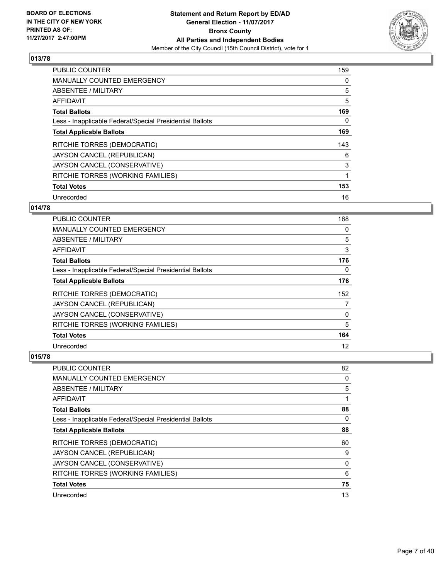

| <b>PUBLIC COUNTER</b>                                    | 159 |
|----------------------------------------------------------|-----|
| <b>MANUALLY COUNTED EMERGENCY</b>                        | 0   |
| ABSENTEE / MILITARY                                      | 5   |
| <b>AFFIDAVIT</b>                                         | 5   |
| <b>Total Ballots</b>                                     | 169 |
| Less - Inapplicable Federal/Special Presidential Ballots | 0   |
| <b>Total Applicable Ballots</b>                          | 169 |
| RITCHIE TORRES (DEMOCRATIC)                              | 143 |
| JAYSON CANCEL (REPUBLICAN)                               | 6   |
| JAYSON CANCEL (CONSERVATIVE)                             | 3   |
| RITCHIE TORRES (WORKING FAMILIES)                        |     |
| <b>Total Votes</b>                                       | 153 |
| Unrecorded                                               | 16  |

# **014/78**

| <b>PUBLIC COUNTER</b>                                    | 168 |
|----------------------------------------------------------|-----|
| MANUALLY COUNTED EMERGENCY                               | 0   |
| ABSENTEE / MILITARY                                      | 5   |
| AFFIDAVIT                                                | 3   |
| <b>Total Ballots</b>                                     | 176 |
| Less - Inapplicable Federal/Special Presidential Ballots | 0   |
| <b>Total Applicable Ballots</b>                          | 176 |
| RITCHIE TORRES (DEMOCRATIC)                              | 152 |
| JAYSON CANCEL (REPUBLICAN)                               | 7   |
| JAYSON CANCEL (CONSERVATIVE)                             | 0   |
| RITCHIE TORRES (WORKING FAMILIES)                        | 5   |
| <b>Total Votes</b>                                       | 164 |
| Unrecorded                                               | 12  |

| PUBLIC COUNTER                                           | 82 |
|----------------------------------------------------------|----|
| <b>MANUALLY COUNTED EMERGENCY</b>                        | 0  |
| ABSENTEE / MILITARY                                      | 5  |
| AFFIDAVIT                                                | 1  |
| <b>Total Ballots</b>                                     | 88 |
| Less - Inapplicable Federal/Special Presidential Ballots | 0  |
| <b>Total Applicable Ballots</b>                          | 88 |
| RITCHIE TORRES (DEMOCRATIC)                              | 60 |
| JAYSON CANCEL (REPUBLICAN)                               | 9  |
| JAYSON CANCEL (CONSERVATIVE)                             | 0  |
| RITCHIE TORRES (WORKING FAMILIES)                        | 6  |
| <b>Total Votes</b>                                       | 75 |
| Unrecorded                                               | 13 |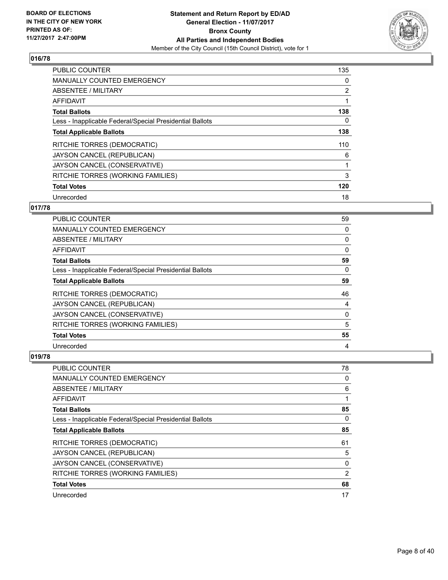

| PUBLIC COUNTER                                           | 135            |
|----------------------------------------------------------|----------------|
| <b>MANUALLY COUNTED EMERGENCY</b>                        | 0              |
| ABSENTEE / MILITARY                                      | $\overline{2}$ |
| <b>AFFIDAVIT</b>                                         |                |
| <b>Total Ballots</b>                                     | 138            |
| Less - Inapplicable Federal/Special Presidential Ballots | 0              |
| <b>Total Applicable Ballots</b>                          | 138            |
| RITCHIE TORRES (DEMOCRATIC)                              | 110            |
| JAYSON CANCEL (REPUBLICAN)                               | 6              |
| JAYSON CANCEL (CONSERVATIVE)                             |                |
| RITCHIE TORRES (WORKING FAMILIES)                        | 3              |
| <b>Total Votes</b>                                       | 120            |
| Unrecorded                                               | 18             |

# **017/78**

| PUBLIC COUNTER                                           | 59       |
|----------------------------------------------------------|----------|
| MANUALLY COUNTED EMERGENCY                               | 0        |
| ABSENTEE / MILITARY                                      | 0        |
| AFFIDAVIT                                                | 0        |
| <b>Total Ballots</b>                                     | 59       |
| Less - Inapplicable Federal/Special Presidential Ballots | $\Omega$ |
| <b>Total Applicable Ballots</b>                          | 59       |
| RITCHIE TORRES (DEMOCRATIC)                              | 46       |
| JAYSON CANCEL (REPUBLICAN)                               | 4        |
| JAYSON CANCEL (CONSERVATIVE)                             | 0        |
| RITCHIE TORRES (WORKING FAMILIES)                        | 5        |
| <b>Total Votes</b>                                       | 55       |
| Unrecorded                                               | 4        |

| PUBLIC COUNTER                                           | 78 |
|----------------------------------------------------------|----|
| MANUALLY COUNTED EMERGENCY                               | 0  |
| ABSENTEE / MILITARY                                      | 6  |
| AFFIDAVIT                                                | 1  |
| <b>Total Ballots</b>                                     | 85 |
| Less - Inapplicable Federal/Special Presidential Ballots | 0  |
| <b>Total Applicable Ballots</b>                          | 85 |
| RITCHIE TORRES (DEMOCRATIC)                              | 61 |
| JAYSON CANCEL (REPUBLICAN)                               | 5  |
| JAYSON CANCEL (CONSERVATIVE)                             | 0  |
| RITCHIE TORRES (WORKING FAMILIES)                        | 2  |
| <b>Total Votes</b>                                       | 68 |
| Unrecorded                                               | 17 |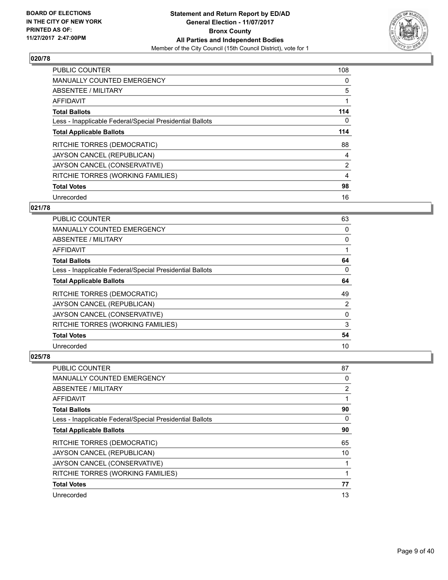

| <b>PUBLIC COUNTER</b>                                    | 108            |
|----------------------------------------------------------|----------------|
| MANUALLY COUNTED EMERGENCY                               | 0              |
| ABSENTEE / MILITARY                                      | 5              |
| <b>AFFIDAVIT</b>                                         |                |
| <b>Total Ballots</b>                                     | 114            |
| Less - Inapplicable Federal/Special Presidential Ballots | 0              |
| <b>Total Applicable Ballots</b>                          | 114            |
| RITCHIE TORRES (DEMOCRATIC)                              | 88             |
| JAYSON CANCEL (REPUBLICAN)                               | 4              |
| JAYSON CANCEL (CONSERVATIVE)                             | $\overline{2}$ |
| RITCHIE TORRES (WORKING FAMILIES)                        | 4              |
| <b>Total Votes</b>                                       | 98             |
| Unrecorded                                               | 16             |

# **021/78**

| PUBLIC COUNTER                                           | 63 |
|----------------------------------------------------------|----|
| MANUALLY COUNTED EMERGENCY                               | 0  |
| ABSENTEE / MILITARY                                      | 0  |
| AFFIDAVIT                                                |    |
| <b>Total Ballots</b>                                     | 64 |
| Less - Inapplicable Federal/Special Presidential Ballots | 0  |
| <b>Total Applicable Ballots</b>                          | 64 |
| RITCHIE TORRES (DEMOCRATIC)                              | 49 |
| JAYSON CANCEL (REPUBLICAN)                               | 2  |
| JAYSON CANCEL (CONSERVATIVE)                             | 0  |
| RITCHIE TORRES (WORKING FAMILIES)                        | 3  |
| <b>Total Votes</b>                                       | 54 |
| Unrecorded                                               | 10 |

| PUBLIC COUNTER                                           | 87 |
|----------------------------------------------------------|----|
| <b>MANUALLY COUNTED EMERGENCY</b>                        | 0  |
| ABSENTEE / MILITARY                                      | 2  |
| AFFIDAVIT                                                |    |
| <b>Total Ballots</b>                                     | 90 |
| Less - Inapplicable Federal/Special Presidential Ballots | 0  |
| <b>Total Applicable Ballots</b>                          | 90 |
| RITCHIE TORRES (DEMOCRATIC)                              | 65 |
| JAYSON CANCEL (REPUBLICAN)                               | 10 |
| JAYSON CANCEL (CONSERVATIVE)                             |    |
| RITCHIE TORRES (WORKING FAMILIES)                        | 1  |
| <b>Total Votes</b>                                       | 77 |
| Unrecorded                                               | 13 |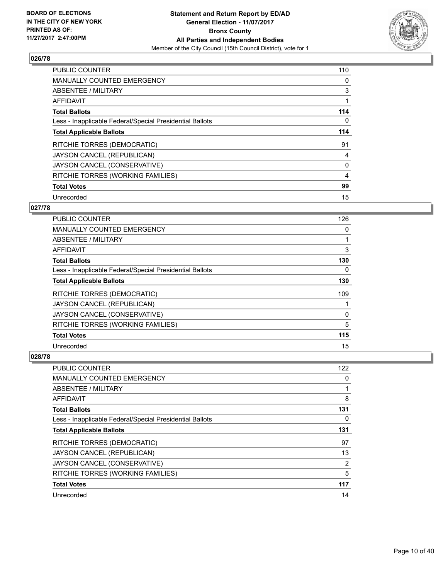

| <b>PUBLIC COUNTER</b>                                    | 110 |
|----------------------------------------------------------|-----|
| <b>MANUALLY COUNTED EMERGENCY</b>                        | 0   |
| ABSENTEE / MILITARY                                      | 3   |
| AFFIDAVIT                                                |     |
| <b>Total Ballots</b>                                     | 114 |
| Less - Inapplicable Federal/Special Presidential Ballots | 0   |
| <b>Total Applicable Ballots</b>                          | 114 |
| RITCHIE TORRES (DEMOCRATIC)                              | 91  |
| JAYSON CANCEL (REPUBLICAN)                               | 4   |
| JAYSON CANCEL (CONSERVATIVE)                             | 0   |
| RITCHIE TORRES (WORKING FAMILIES)                        | 4   |
| <b>Total Votes</b>                                       | 99  |
| Unrecorded                                               | 15  |

# **027/78**

| <b>PUBLIC COUNTER</b>                                    | 126      |
|----------------------------------------------------------|----------|
| MANUALLY COUNTED EMERGENCY                               | 0        |
| ABSENTEE / MILITARY                                      |          |
| AFFIDAVIT                                                | 3        |
| <b>Total Ballots</b>                                     | 130      |
| Less - Inapplicable Federal/Special Presidential Ballots | 0        |
| <b>Total Applicable Ballots</b>                          | 130      |
| RITCHIE TORRES (DEMOCRATIC)                              | 109      |
| JAYSON CANCEL (REPUBLICAN)                               |          |
| JAYSON CANCEL (CONSERVATIVE)                             | $\Omega$ |
| RITCHIE TORRES (WORKING FAMILIES)                        | 5        |
| <b>Total Votes</b>                                       | 115      |
| Unrecorded                                               | 15       |

| PUBLIC COUNTER                                           | 122 |
|----------------------------------------------------------|-----|
| MANUALLY COUNTED EMERGENCY                               | 0   |
| ABSENTEE / MILITARY                                      |     |
| AFFIDAVIT                                                | 8   |
| <b>Total Ballots</b>                                     | 131 |
| Less - Inapplicable Federal/Special Presidential Ballots | 0   |
| <b>Total Applicable Ballots</b>                          | 131 |
| RITCHIE TORRES (DEMOCRATIC)                              | 97  |
| JAYSON CANCEL (REPUBLICAN)                               | 13  |
| JAYSON CANCEL (CONSERVATIVE)                             | 2   |
| RITCHIE TORRES (WORKING FAMILIES)                        | 5   |
| <b>Total Votes</b>                                       | 117 |
| Unrecorded                                               | 14  |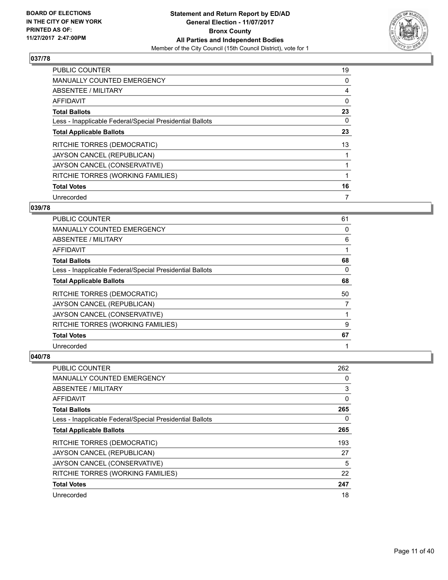

| <b>PUBLIC COUNTER</b>                                    | 19 |
|----------------------------------------------------------|----|
| MANUALLY COUNTED EMERGENCY                               | 0  |
| ABSENTEE / MILITARY                                      | 4  |
| AFFIDAVIT                                                | 0  |
| <b>Total Ballots</b>                                     | 23 |
| Less - Inapplicable Federal/Special Presidential Ballots | 0  |
| <b>Total Applicable Ballots</b>                          | 23 |
| RITCHIE TORRES (DEMOCRATIC)                              | 13 |
| JAYSON CANCEL (REPUBLICAN)                               |    |
| JAYSON CANCEL (CONSERVATIVE)                             |    |
| RITCHIE TORRES (WORKING FAMILIES)                        | 1  |
| <b>Total Votes</b>                                       | 16 |
| Unrecorded                                               | 7  |

#### **039/78**

| PUBLIC COUNTER                                           | 61       |
|----------------------------------------------------------|----------|
| MANUALLY COUNTED EMERGENCY                               | 0        |
| ABSENTEE / MILITARY                                      | 6        |
| AFFIDAVIT                                                |          |
| <b>Total Ballots</b>                                     | 68       |
| Less - Inapplicable Federal/Special Presidential Ballots | $\Omega$ |
| <b>Total Applicable Ballots</b>                          | 68       |
| RITCHIE TORRES (DEMOCRATIC)                              | 50       |
| JAYSON CANCEL (REPUBLICAN)                               | 7        |
| JAYSON CANCEL (CONSERVATIVE)                             |          |
| RITCHIE TORRES (WORKING FAMILIES)                        | 9        |
| <b>Total Votes</b>                                       | 67       |
| Unrecorded                                               |          |

| <b>PUBLIC COUNTER</b>                                    | 262      |
|----------------------------------------------------------|----------|
| <b>MANUALLY COUNTED EMERGENCY</b>                        | 0        |
| ABSENTEE / MILITARY                                      | 3        |
| AFFIDAVIT                                                | $\Omega$ |
| <b>Total Ballots</b>                                     | 265      |
| Less - Inapplicable Federal/Special Presidential Ballots | 0        |
| <b>Total Applicable Ballots</b>                          | 265      |
| RITCHIE TORRES (DEMOCRATIC)                              | 193      |
| JAYSON CANCEL (REPUBLICAN)                               | 27       |
| JAYSON CANCEL (CONSERVATIVE)                             | 5        |
| RITCHIE TORRES (WORKING FAMILIES)                        | 22       |
| <b>Total Votes</b>                                       | 247      |
| Unrecorded                                               | 18       |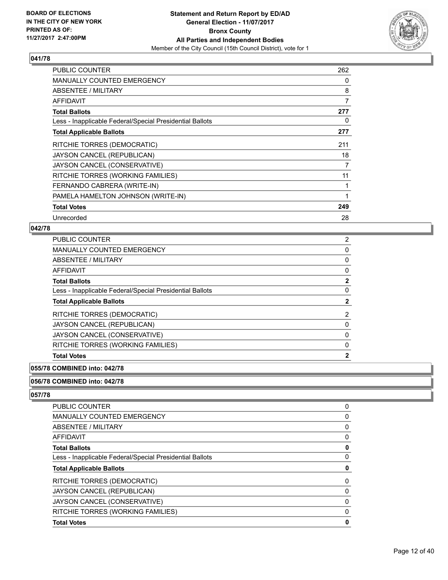

| <b>PUBLIC COUNTER</b>                                    | 262 |
|----------------------------------------------------------|-----|
| <b>MANUALLY COUNTED EMERGENCY</b>                        | 0   |
| ABSENTEE / MILITARY                                      | 8   |
| AFFIDAVIT                                                | 7   |
| <b>Total Ballots</b>                                     | 277 |
| Less - Inapplicable Federal/Special Presidential Ballots | 0   |
| <b>Total Applicable Ballots</b>                          | 277 |
| RITCHIE TORRES (DEMOCRATIC)                              | 211 |
| JAYSON CANCEL (REPUBLICAN)                               | 18  |
| JAYSON CANCEL (CONSERVATIVE)                             | 7   |
| RITCHIE TORRES (WORKING FAMILIES)                        | 11  |
| FERNANDO CABRERA (WRITE-IN)                              |     |
| PAMELA HAMELTON JOHNSON (WRITE-IN)                       | 1   |
| <b>Total Votes</b>                                       | 249 |
| Unrecorded                                               | 28  |

## **042/78**

| <b>PUBLIC COUNTER</b>                                    | $\overline{2}$ |
|----------------------------------------------------------|----------------|
| <b>MANUALLY COUNTED EMERGENCY</b>                        | 0              |
| <b>ABSENTEE / MILITARY</b>                               | 0              |
| <b>AFFIDAVIT</b>                                         | 0              |
| <b>Total Ballots</b>                                     | $\mathbf{2}$   |
| Less - Inapplicable Federal/Special Presidential Ballots | 0              |
| <b>Total Applicable Ballots</b>                          | $\mathbf{2}$   |
| RITCHIE TORRES (DEMOCRATIC)                              | 2              |
| JAYSON CANCEL (REPUBLICAN)                               | 0              |
| JAYSON CANCEL (CONSERVATIVE)                             | 0              |
| RITCHIE TORRES (WORKING FAMILIES)                        | 0              |
| <b>Total Votes</b>                                       | $\mathbf{2}$   |
|                                                          |                |

#### **055/78 COMBINED into: 042/78**

#### **056/78 COMBINED into: 042/78**

| <b>PUBLIC COUNTER</b>                                    | 0 |
|----------------------------------------------------------|---|
| <b>MANUALLY COUNTED EMERGENCY</b>                        | 0 |
| ABSENTEE / MILITARY                                      | 0 |
| AFFIDAVIT                                                | 0 |
| <b>Total Ballots</b>                                     | 0 |
| Less - Inapplicable Federal/Special Presidential Ballots | 0 |
| <b>Total Applicable Ballots</b>                          | 0 |
| <b>RITCHIE TORRES (DEMOCRATIC)</b>                       | 0 |
| JAYSON CANCEL (REPUBLICAN)                               | 0 |
| JAYSON CANCEL (CONSERVATIVE)                             | 0 |
| RITCHIE TORRES (WORKING FAMILIES)                        | 0 |
| <b>Total Votes</b>                                       | 0 |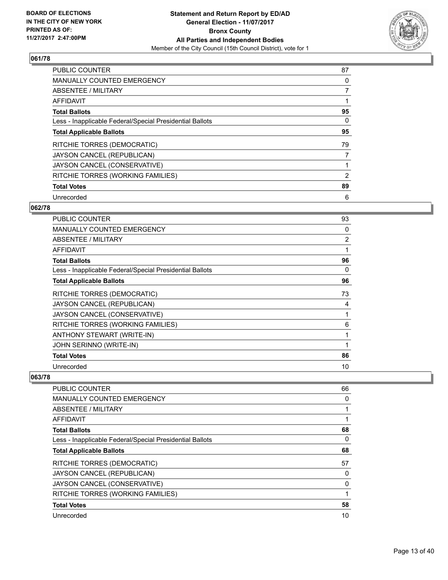

| <b>PUBLIC COUNTER</b>                                    | 87             |
|----------------------------------------------------------|----------------|
| <b>MANUALLY COUNTED EMERGENCY</b>                        | 0              |
| ABSENTEE / MILITARY                                      | $\overline{7}$ |
| AFFIDAVIT                                                |                |
| <b>Total Ballots</b>                                     | 95             |
| Less - Inapplicable Federal/Special Presidential Ballots | 0              |
| <b>Total Applicable Ballots</b>                          | 95             |
| RITCHIE TORRES (DEMOCRATIC)                              | 79             |
| JAYSON CANCEL (REPUBLICAN)                               | 7              |
| JAYSON CANCEL (CONSERVATIVE)                             |                |
| RITCHIE TORRES (WORKING FAMILIES)                        | 2              |
| <b>Total Votes</b>                                       | 89             |
| Unrecorded                                               | 6              |

#### **062/78**

| <b>PUBLIC COUNTER</b>                                    | 93 |
|----------------------------------------------------------|----|
| <b>MANUALLY COUNTED EMERGENCY</b>                        | 0  |
| ABSENTEE / MILITARY                                      | 2  |
| <b>AFFIDAVIT</b>                                         | 1  |
| <b>Total Ballots</b>                                     | 96 |
| Less - Inapplicable Federal/Special Presidential Ballots | 0  |
| <b>Total Applicable Ballots</b>                          | 96 |
| RITCHIE TORRES (DEMOCRATIC)                              | 73 |
| JAYSON CANCEL (REPUBLICAN)                               | 4  |
| JAYSON CANCEL (CONSERVATIVE)                             |    |
| RITCHIE TORRES (WORKING FAMILIES)                        | 6  |
| ANTHONY STEWART (WRITE-IN)                               | 1  |
| JOHN SERINNO (WRITE-IN)                                  | 1  |
| <b>Total Votes</b>                                       | 86 |
| Unrecorded                                               | 10 |

| <b>PUBLIC COUNTER</b>                                    | 66 |
|----------------------------------------------------------|----|
| <b>MANUALLY COUNTED EMERGENCY</b>                        | 0  |
| ABSENTEE / MILITARY                                      |    |
| AFFIDAVIT                                                |    |
| <b>Total Ballots</b>                                     | 68 |
| Less - Inapplicable Federal/Special Presidential Ballots | 0  |
| <b>Total Applicable Ballots</b>                          | 68 |
| RITCHIE TORRES (DEMOCRATIC)                              | 57 |
| JAYSON CANCEL (REPUBLICAN)                               | 0  |
| JAYSON CANCEL (CONSERVATIVE)                             | 0  |
| RITCHIE TORRES (WORKING FAMILIES)                        |    |
| <b>Total Votes</b>                                       | 58 |
| Unrecorded                                               | 10 |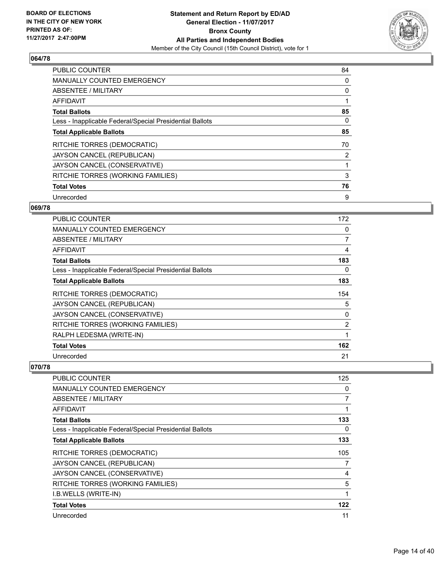

| <b>PUBLIC COUNTER</b>                                    | 84 |
|----------------------------------------------------------|----|
| <b>MANUALLY COUNTED EMERGENCY</b>                        | 0  |
| ABSENTEE / MILITARY                                      | 0  |
| AFFIDAVIT                                                |    |
| <b>Total Ballots</b>                                     | 85 |
| Less - Inapplicable Federal/Special Presidential Ballots | 0  |
| <b>Total Applicable Ballots</b>                          | 85 |
| RITCHIE TORRES (DEMOCRATIC)                              | 70 |
| JAYSON CANCEL (REPUBLICAN)                               | 2  |
| JAYSON CANCEL (CONSERVATIVE)                             |    |
| RITCHIE TORRES (WORKING FAMILIES)                        | 3  |
| <b>Total Votes</b>                                       | 76 |
| Unrecorded                                               | 9  |

#### **069/78**

| <b>PUBLIC COUNTER</b>                                    | 172 |
|----------------------------------------------------------|-----|
| <b>MANUALLY COUNTED EMERGENCY</b>                        | 0   |
| ABSENTEE / MILITARY                                      | 7   |
| AFFIDAVIT                                                | 4   |
| <b>Total Ballots</b>                                     | 183 |
| Less - Inapplicable Federal/Special Presidential Ballots | 0   |
| <b>Total Applicable Ballots</b>                          | 183 |
| RITCHIE TORRES (DEMOCRATIC)                              | 154 |
| JAYSON CANCEL (REPUBLICAN)                               | 5   |
| JAYSON CANCEL (CONSERVATIVE)                             | 0   |
| RITCHIE TORRES (WORKING FAMILIES)                        | 2   |
| RALPH LEDESMA (WRITE-IN)                                 | 1   |
| <b>Total Votes</b>                                       | 162 |
| Unrecorded                                               | 21  |

| <b>PUBLIC COUNTER</b>                                    | 125            |
|----------------------------------------------------------|----------------|
| MANUALLY COUNTED EMERGENCY                               | 0              |
| ABSENTEE / MILITARY                                      | $\overline{7}$ |
| AFFIDAVIT                                                |                |
| <b>Total Ballots</b>                                     | 133            |
| Less - Inapplicable Federal/Special Presidential Ballots | 0              |
| <b>Total Applicable Ballots</b>                          | 133            |
| RITCHIE TORRES (DEMOCRATIC)                              | 105            |
| JAYSON CANCEL (REPUBLICAN)                               | 7              |
| JAYSON CANCEL (CONSERVATIVE)                             | 4              |
| RITCHIE TORRES (WORKING FAMILIES)                        | 5              |
| I.B.WELLS (WRITE-IN)                                     |                |
| <b>Total Votes</b>                                       | 122            |
| Unrecorded                                               | 11             |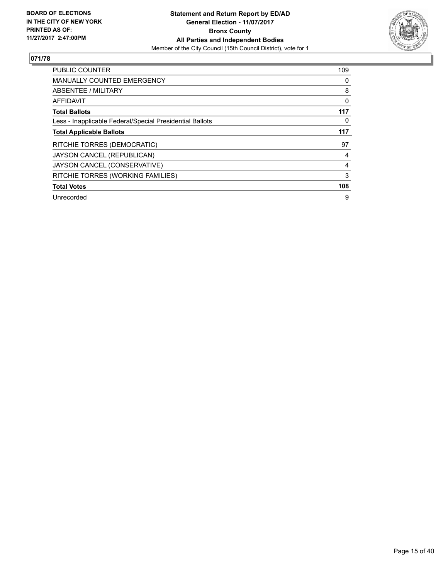

| <b>PUBLIC COUNTER</b>                                    | 109 |
|----------------------------------------------------------|-----|
| <b>MANUALLY COUNTED EMERGENCY</b>                        | 0   |
| ABSENTEE / MILITARY                                      | 8   |
| <b>AFFIDAVIT</b>                                         | 0   |
| <b>Total Ballots</b>                                     | 117 |
| Less - Inapplicable Federal/Special Presidential Ballots | 0   |
| <b>Total Applicable Ballots</b>                          | 117 |
| RITCHIE TORRES (DEMOCRATIC)                              | 97  |
| JAYSON CANCEL (REPUBLICAN)                               | 4   |
| JAYSON CANCEL (CONSERVATIVE)                             | 4   |
| RITCHIE TORRES (WORKING FAMILIES)                        | 3   |
| <b>Total Votes</b>                                       | 108 |
| Unrecorded                                               | 9   |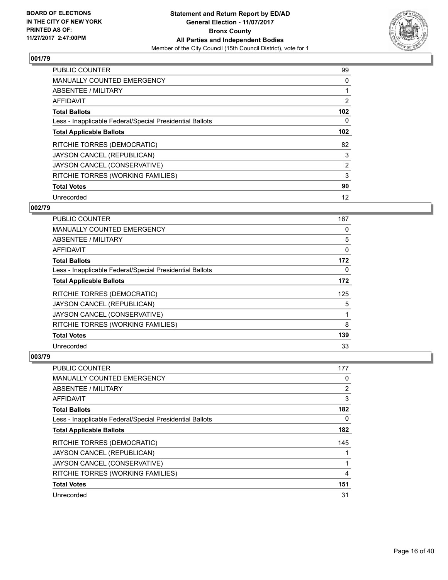

| <b>PUBLIC COUNTER</b>                                    | 99             |
|----------------------------------------------------------|----------------|
| <b>MANUALLY COUNTED EMERGENCY</b>                        | 0              |
| ABSENTEE / MILITARY                                      |                |
| <b>AFFIDAVIT</b>                                         | $\overline{2}$ |
| <b>Total Ballots</b>                                     | 102            |
| Less - Inapplicable Federal/Special Presidential Ballots | 0              |
| <b>Total Applicable Ballots</b>                          | 102            |
| RITCHIE TORRES (DEMOCRATIC)                              | 82             |
| JAYSON CANCEL (REPUBLICAN)                               | 3              |
| JAYSON CANCEL (CONSERVATIVE)                             | $\overline{2}$ |
| RITCHIE TORRES (WORKING FAMILIES)                        | 3              |
| <b>Total Votes</b>                                       | 90             |
| Unrecorded                                               | 12             |

#### **002/79**

| <b>PUBLIC COUNTER</b>                                    | 167 |
|----------------------------------------------------------|-----|
| MANUALLY COUNTED EMERGENCY                               | 0   |
| ABSENTEE / MILITARY                                      | 5   |
| AFFIDAVIT                                                | 0   |
| <b>Total Ballots</b>                                     | 172 |
| Less - Inapplicable Federal/Special Presidential Ballots | 0   |
| <b>Total Applicable Ballots</b>                          | 172 |
| RITCHIE TORRES (DEMOCRATIC)                              | 125 |
| JAYSON CANCEL (REPUBLICAN)                               | 5   |
| JAYSON CANCEL (CONSERVATIVE)                             |     |
| RITCHIE TORRES (WORKING FAMILIES)                        | 8   |
| <b>Total Votes</b>                                       | 139 |
| Unrecorded                                               | 33  |

| PUBLIC COUNTER                                           | 177            |
|----------------------------------------------------------|----------------|
| <b>MANUALLY COUNTED EMERGENCY</b>                        | 0              |
| ABSENTEE / MILITARY                                      | $\overline{2}$ |
| AFFIDAVIT                                                | 3              |
| <b>Total Ballots</b>                                     | 182            |
| Less - Inapplicable Federal/Special Presidential Ballots | 0              |
| <b>Total Applicable Ballots</b>                          | 182            |
| <b>RITCHIE TORRES (DEMOCRATIC)</b>                       | 145            |
| JAYSON CANCEL (REPUBLICAN)                               |                |
| JAYSON CANCEL (CONSERVATIVE)                             | 1              |
| RITCHIE TORRES (WORKING FAMILIES)                        | 4              |
| <b>Total Votes</b>                                       | 151            |
| Unrecorded                                               | 31             |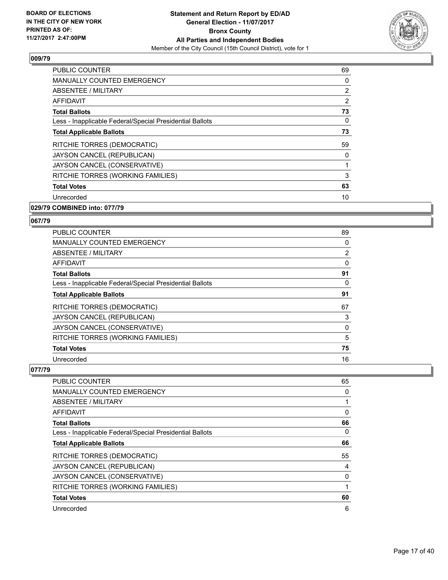

| <b>PUBLIC COUNTER</b>                                    | 69 |
|----------------------------------------------------------|----|
| <b>MANUALLY COUNTED EMERGENCY</b>                        | 0  |
| <b>ABSENTEE / MILITARY</b>                               | 2  |
| AFFIDAVIT                                                | 2  |
| <b>Total Ballots</b>                                     | 73 |
| Less - Inapplicable Federal/Special Presidential Ballots | 0  |
| <b>Total Applicable Ballots</b>                          | 73 |
| RITCHIE TORRES (DEMOCRATIC)                              | 59 |
| JAYSON CANCEL (REPUBLICAN)                               | 0  |
| JAYSON CANCEL (CONSERVATIVE)                             | 1  |
| RITCHIE TORRES (WORKING FAMILIES)                        | 3  |
| <b>Total Votes</b>                                       | 63 |
| Unrecorded                                               | 10 |
| 029/79 COMBINED into: 077/79                             |    |

# **067/79**

| <b>PUBLIC COUNTER</b>                                    | 89 |
|----------------------------------------------------------|----|
| <b>MANUALLY COUNTED EMERGENCY</b>                        | 0  |
| ABSENTEE / MILITARY                                      | 2  |
| AFFIDAVIT                                                | 0  |
| <b>Total Ballots</b>                                     | 91 |
| Less - Inapplicable Federal/Special Presidential Ballots | 0  |
| <b>Total Applicable Ballots</b>                          | 91 |
| RITCHIE TORRES (DEMOCRATIC)                              | 67 |
| JAYSON CANCEL (REPUBLICAN)                               | 3  |
| JAYSON CANCEL (CONSERVATIVE)                             | 0  |
| RITCHIE TORRES (WORKING FAMILIES)                        | 5  |
| <b>Total Votes</b>                                       | 75 |
| Unrecorded                                               | 16 |

| <b>PUBLIC COUNTER</b>                                    | 65 |
|----------------------------------------------------------|----|
| <b>MANUALLY COUNTED EMERGENCY</b>                        | 0  |
| ABSENTEE / MILITARY                                      |    |
| AFFIDAVIT                                                | 0  |
| <b>Total Ballots</b>                                     | 66 |
| Less - Inapplicable Federal/Special Presidential Ballots | 0  |
| <b>Total Applicable Ballots</b>                          | 66 |
| RITCHIE TORRES (DEMOCRATIC)                              | 55 |
| JAYSON CANCEL (REPUBLICAN)                               | 4  |
| JAYSON CANCEL (CONSERVATIVE)                             | 0  |
| RITCHIE TORRES (WORKING FAMILIES)                        |    |
| <b>Total Votes</b>                                       | 60 |
| Unrecorded                                               | 6  |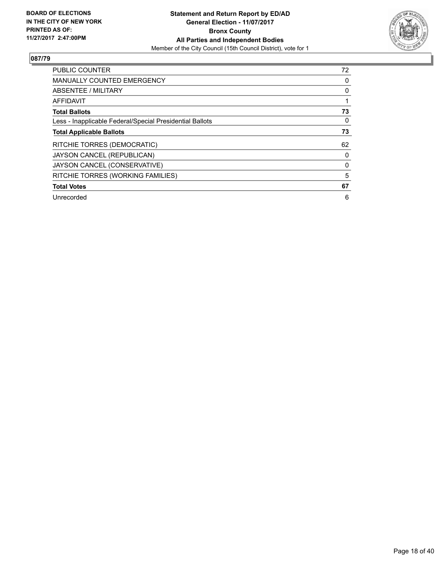

| <b>PUBLIC COUNTER</b>                                    | 72 |
|----------------------------------------------------------|----|
| <b>MANUALLY COUNTED EMERGENCY</b>                        | 0  |
| ABSENTEE / MILITARY                                      | 0  |
| AFFIDAVIT                                                |    |
| <b>Total Ballots</b>                                     | 73 |
| Less - Inapplicable Federal/Special Presidential Ballots | 0  |
| <b>Total Applicable Ballots</b>                          | 73 |
| RITCHIE TORRES (DEMOCRATIC)                              | 62 |
| JAYSON CANCEL (REPUBLICAN)                               | 0  |
| JAYSON CANCEL (CONSERVATIVE)                             | 0  |
| RITCHIE TORRES (WORKING FAMILIES)                        | 5  |
| <b>Total Votes</b>                                       | 67 |
| Unrecorded                                               | 6  |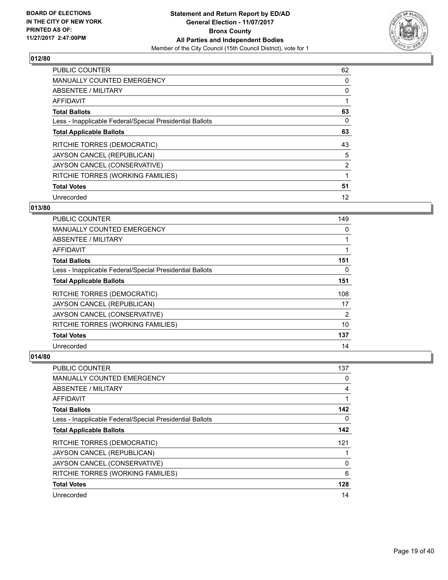

| <b>PUBLIC COUNTER</b>                                    | 62             |
|----------------------------------------------------------|----------------|
| <b>MANUALLY COUNTED EMERGENCY</b>                        | 0              |
| ABSENTEE / MILITARY                                      | 0              |
| AFFIDAVIT                                                |                |
| <b>Total Ballots</b>                                     | 63             |
| Less - Inapplicable Federal/Special Presidential Ballots | 0              |
| <b>Total Applicable Ballots</b>                          | 63             |
| RITCHIE TORRES (DEMOCRATIC)                              | 43             |
| JAYSON CANCEL (REPUBLICAN)                               | 5              |
| JAYSON CANCEL (CONSERVATIVE)                             | $\overline{2}$ |
| RITCHIE TORRES (WORKING FAMILIES)                        |                |
| <b>Total Votes</b>                                       | 51             |
| Unrecorded                                               | 12             |

# **013/80**

| PUBLIC COUNTER                                           | 149 |
|----------------------------------------------------------|-----|
| <b>MANUALLY COUNTED EMERGENCY</b>                        | 0   |
| ABSENTEE / MILITARY                                      |     |
| AFFIDAVIT                                                |     |
| <b>Total Ballots</b>                                     | 151 |
| Less - Inapplicable Federal/Special Presidential Ballots | 0   |
| <b>Total Applicable Ballots</b>                          | 151 |
| RITCHIE TORRES (DEMOCRATIC)                              | 108 |
| JAYSON CANCEL (REPUBLICAN)                               | 17  |
| JAYSON CANCEL (CONSERVATIVE)                             | 2   |
| RITCHIE TORRES (WORKING FAMILIES)                        | 10  |
| <b>Total Votes</b>                                       | 137 |
| Unrecorded                                               | 14  |

| PUBLIC COUNTER                                           | 137         |
|----------------------------------------------------------|-------------|
| MANUALLY COUNTED EMERGENCY                               | 0           |
| ABSENTEE / MILITARY                                      | 4           |
| AFFIDAVIT                                                |             |
| <b>Total Ballots</b>                                     | 142         |
| Less - Inapplicable Federal/Special Presidential Ballots | 0           |
| <b>Total Applicable Ballots</b>                          | 142         |
| RITCHIE TORRES (DEMOCRATIC)                              | 121         |
| JAYSON CANCEL (REPUBLICAN)                               |             |
| JAYSON CANCEL (CONSERVATIVE)                             | $\mathbf 0$ |
| RITCHIE TORRES (WORKING FAMILIES)                        | 6           |
| <b>Total Votes</b>                                       | 128         |
| Unrecorded                                               | 14          |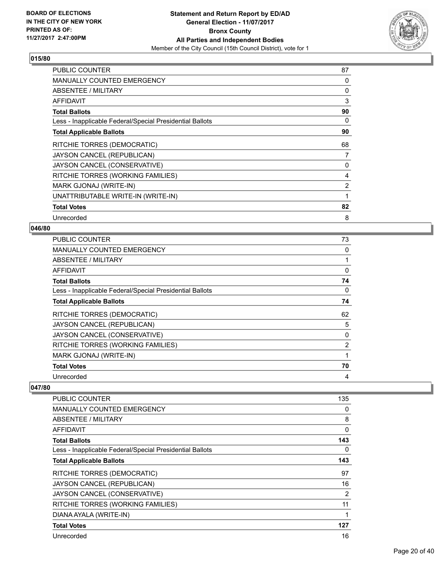

| <b>PUBLIC COUNTER</b>                                    | 87             |
|----------------------------------------------------------|----------------|
| <b>MANUALLY COUNTED EMERGENCY</b>                        | 0              |
| ABSENTEE / MILITARY                                      | 0              |
| AFFIDAVIT                                                | 3              |
| <b>Total Ballots</b>                                     | 90             |
| Less - Inapplicable Federal/Special Presidential Ballots | 0              |
| <b>Total Applicable Ballots</b>                          | 90             |
| RITCHIE TORRES (DEMOCRATIC)                              | 68             |
| JAYSON CANCEL (REPUBLICAN)                               | 7              |
| JAYSON CANCEL (CONSERVATIVE)                             | 0              |
| RITCHIE TORRES (WORKING FAMILIES)                        | 4              |
| MARK GJONAJ (WRITE-IN)                                   | $\overline{2}$ |
| UNATTRIBUTABLE WRITE-IN (WRITE-IN)                       | 1              |
| <b>Total Votes</b>                                       | 82             |
| Unrecorded                                               | 8              |

## **046/80**

| <b>PUBLIC COUNTER</b>                                    | 73             |
|----------------------------------------------------------|----------------|
| <b>MANUALLY COUNTED EMERGENCY</b>                        | 0              |
| ABSENTEE / MILITARY                                      |                |
| AFFIDAVIT                                                | 0              |
| <b>Total Ballots</b>                                     | 74             |
| Less - Inapplicable Federal/Special Presidential Ballots | 0              |
| <b>Total Applicable Ballots</b>                          | 74             |
| RITCHIE TORRES (DEMOCRATIC)                              | 62             |
| JAYSON CANCEL (REPUBLICAN)                               | 5              |
| JAYSON CANCEL (CONSERVATIVE)                             | 0              |
| RITCHIE TORRES (WORKING FAMILIES)                        | $\overline{2}$ |
| MARK GJONAJ (WRITE-IN)                                   |                |
| <b>Total Votes</b>                                       | 70             |
| Unrecorded                                               | 4              |

| PUBLIC COUNTER                                           | 135         |
|----------------------------------------------------------|-------------|
| <b>MANUALLY COUNTED EMERGENCY</b>                        | 0           |
| ABSENTEE / MILITARY                                      | 8           |
| AFFIDAVIT                                                | $\mathbf 0$ |
| <b>Total Ballots</b>                                     | 143         |
| Less - Inapplicable Federal/Special Presidential Ballots | 0           |
| <b>Total Applicable Ballots</b>                          | 143         |
| RITCHIE TORRES (DEMOCRATIC)                              | 97          |
| JAYSON CANCEL (REPUBLICAN)                               | 16          |
| JAYSON CANCEL (CONSERVATIVE)                             | 2           |
| RITCHIE TORRES (WORKING FAMILIES)                        | 11          |
| DIANA AYALA (WRITE-IN)                                   | 1           |
| <b>Total Votes</b>                                       | 127         |
| Unrecorded                                               | 16          |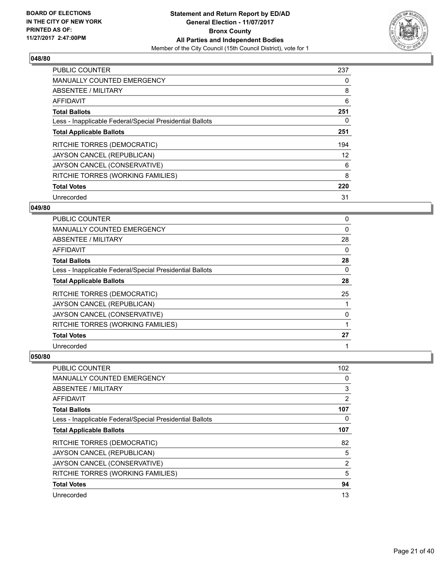

| <b>PUBLIC COUNTER</b>                                    | 237 |
|----------------------------------------------------------|-----|
| <b>MANUALLY COUNTED EMERGENCY</b>                        | 0   |
| ABSENTEE / MILITARY                                      | 8   |
| <b>AFFIDAVIT</b>                                         | 6   |
| <b>Total Ballots</b>                                     | 251 |
| Less - Inapplicable Federal/Special Presidential Ballots | 0   |
| <b>Total Applicable Ballots</b>                          | 251 |
| RITCHIE TORRES (DEMOCRATIC)                              | 194 |
| JAYSON CANCEL (REPUBLICAN)                               | 12  |
| JAYSON CANCEL (CONSERVATIVE)                             | 6   |
| RITCHIE TORRES (WORKING FAMILIES)                        | 8   |
| <b>Total Votes</b>                                       | 220 |
| Unrecorded                                               | 31  |

# **049/80**

| PUBLIC COUNTER                                           | 0  |
|----------------------------------------------------------|----|
| <b>MANUALLY COUNTED EMERGENCY</b>                        | 0  |
| ABSENTEE / MILITARY                                      | 28 |
| AFFIDAVIT                                                | 0  |
| <b>Total Ballots</b>                                     | 28 |
| Less - Inapplicable Federal/Special Presidential Ballots | 0  |
| <b>Total Applicable Ballots</b>                          | 28 |
| RITCHIE TORRES (DEMOCRATIC)                              | 25 |
| JAYSON CANCEL (REPUBLICAN)                               |    |
| JAYSON CANCEL (CONSERVATIVE)                             | 0  |
| RITCHIE TORRES (WORKING FAMILIES)                        |    |
| <b>Total Votes</b>                                       | 27 |
| Unrecorded                                               |    |

| <b>PUBLIC COUNTER</b>                                    | 102            |
|----------------------------------------------------------|----------------|
| <b>MANUALLY COUNTED EMERGENCY</b>                        | 0              |
| ABSENTEE / MILITARY                                      | 3              |
| AFFIDAVIT                                                | $\overline{2}$ |
| <b>Total Ballots</b>                                     | 107            |
| Less - Inapplicable Federal/Special Presidential Ballots | 0              |
| <b>Total Applicable Ballots</b>                          | 107            |
| RITCHIE TORRES (DEMOCRATIC)                              | 82             |
| JAYSON CANCEL (REPUBLICAN)                               | 5              |
| JAYSON CANCEL (CONSERVATIVE)                             | $\overline{2}$ |
| RITCHIE TORRES (WORKING FAMILIES)                        | 5              |
| <b>Total Votes</b>                                       | 94             |
| Unrecorded                                               | 13             |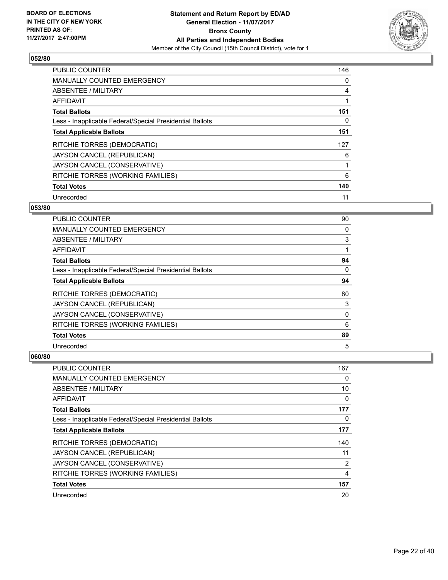

| <b>PUBLIC COUNTER</b>                                    | 146 |
|----------------------------------------------------------|-----|
| <b>MANUALLY COUNTED EMERGENCY</b>                        | 0   |
| ABSENTEE / MILITARY                                      | 4   |
| <b>AFFIDAVIT</b>                                         | 1   |
| <b>Total Ballots</b>                                     | 151 |
| Less - Inapplicable Federal/Special Presidential Ballots | 0   |
| <b>Total Applicable Ballots</b>                          | 151 |
| RITCHIE TORRES (DEMOCRATIC)                              | 127 |
| JAYSON CANCEL (REPUBLICAN)                               | 6   |
| JAYSON CANCEL (CONSERVATIVE)                             |     |
| RITCHIE TORRES (WORKING FAMILIES)                        | 6   |
| <b>Total Votes</b>                                       | 140 |
| Unrecorded                                               | 11  |

# **053/80**

| PUBLIC COUNTER                                           | 90       |
|----------------------------------------------------------|----------|
| <b>MANUALLY COUNTED EMERGENCY</b>                        | 0        |
| ABSENTEE / MILITARY                                      | 3        |
| AFFIDAVIT                                                |          |
| <b>Total Ballots</b>                                     | 94       |
| Less - Inapplicable Federal/Special Presidential Ballots | $\Omega$ |
| <b>Total Applicable Ballots</b>                          | 94       |
| RITCHIE TORRES (DEMOCRATIC)                              | 80       |
| JAYSON CANCEL (REPUBLICAN)                               | 3        |
| JAYSON CANCEL (CONSERVATIVE)                             | 0        |
| RITCHIE TORRES (WORKING FAMILIES)                        | 6        |
| <b>Total Votes</b>                                       | 89       |
| Unrecorded                                               | 5        |

| PUBLIC COUNTER                                           | 167            |
|----------------------------------------------------------|----------------|
| <b>MANUALLY COUNTED EMERGENCY</b>                        | 0              |
| ABSENTEE / MILITARY                                      | 10             |
| AFFIDAVIT                                                | 0              |
| <b>Total Ballots</b>                                     | 177            |
| Less - Inapplicable Federal/Special Presidential Ballots | 0              |
| <b>Total Applicable Ballots</b>                          | 177            |
| <b>RITCHIE TORRES (DEMOCRATIC)</b>                       | 140            |
| JAYSON CANCEL (REPUBLICAN)                               | 11             |
| JAYSON CANCEL (CONSERVATIVE)                             | $\overline{2}$ |
| RITCHIE TORRES (WORKING FAMILIES)                        | 4              |
| <b>Total Votes</b>                                       | 157            |
| Unrecorded                                               | 20             |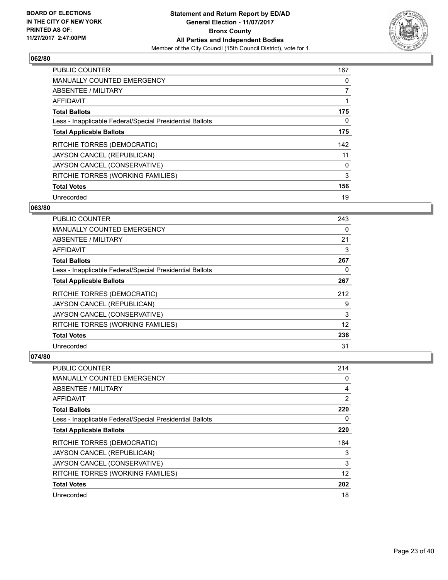

| <b>PUBLIC COUNTER</b>                                    | 167            |
|----------------------------------------------------------|----------------|
| <b>MANUALLY COUNTED EMERGENCY</b>                        | 0              |
| ABSENTEE / MILITARY                                      | $\overline{7}$ |
| <b>AFFIDAVIT</b>                                         |                |
| <b>Total Ballots</b>                                     | 175            |
| Less - Inapplicable Federal/Special Presidential Ballots | 0              |
| <b>Total Applicable Ballots</b>                          | 175            |
| RITCHIE TORRES (DEMOCRATIC)                              | 142            |
| JAYSON CANCEL (REPUBLICAN)                               | 11             |
| JAYSON CANCEL (CONSERVATIVE)                             | 0              |
| RITCHIE TORRES (WORKING FAMILIES)                        | 3              |
| <b>Total Votes</b>                                       | 156            |
| Unrecorded                                               | 19             |

# **063/80**

| <b>PUBLIC COUNTER</b>                                    | 243 |
|----------------------------------------------------------|-----|
| <b>MANUALLY COUNTED EMERGENCY</b>                        | 0   |
| ABSENTEE / MILITARY                                      | 21  |
| AFFIDAVIT                                                | 3   |
| <b>Total Ballots</b>                                     | 267 |
| Less - Inapplicable Federal/Special Presidential Ballots | 0   |
| <b>Total Applicable Ballots</b>                          | 267 |
| RITCHIE TORRES (DEMOCRATIC)                              | 212 |
| JAYSON CANCEL (REPUBLICAN)                               | 9   |
| JAYSON CANCEL (CONSERVATIVE)                             | 3   |
| RITCHIE TORRES (WORKING FAMILIES)                        | 12  |
| <b>Total Votes</b>                                       | 236 |
| Unrecorded                                               | 31  |

| <b>PUBLIC COUNTER</b>                                    | 214            |
|----------------------------------------------------------|----------------|
| <b>MANUALLY COUNTED EMERGENCY</b>                        | 0              |
| ABSENTEE / MILITARY                                      | 4              |
| AFFIDAVIT                                                | $\overline{2}$ |
| <b>Total Ballots</b>                                     | 220            |
| Less - Inapplicable Federal/Special Presidential Ballots | 0              |
| <b>Total Applicable Ballots</b>                          | 220            |
| RITCHIE TORRES (DEMOCRATIC)                              | 184            |
| JAYSON CANCEL (REPUBLICAN)                               | 3              |
| JAYSON CANCEL (CONSERVATIVE)                             | 3              |
| RITCHIE TORRES (WORKING FAMILIES)                        | 12             |
| <b>Total Votes</b>                                       | 202            |
| Unrecorded                                               | 18             |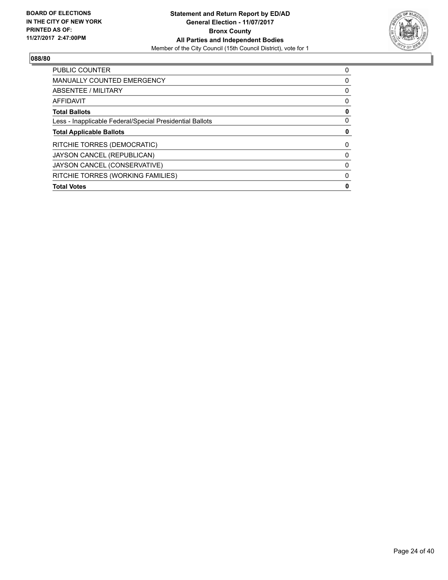

| <b>PUBLIC COUNTER</b>                                    | 0 |
|----------------------------------------------------------|---|
| MANUALLY COUNTED EMERGENCY                               | 0 |
| ABSENTEE / MILITARY                                      | 0 |
| AFFIDAVIT                                                | 0 |
| <b>Total Ballots</b>                                     | 0 |
| Less - Inapplicable Federal/Special Presidential Ballots | 0 |
| <b>Total Applicable Ballots</b>                          | 0 |
| RITCHIE TORRES (DEMOCRATIC)                              | 0 |
| JAYSON CANCEL (REPUBLICAN)                               | 0 |
| JAYSON CANCEL (CONSERVATIVE)                             | 0 |
| RITCHIE TORRES (WORKING FAMILIES)                        | 0 |
|                                                          |   |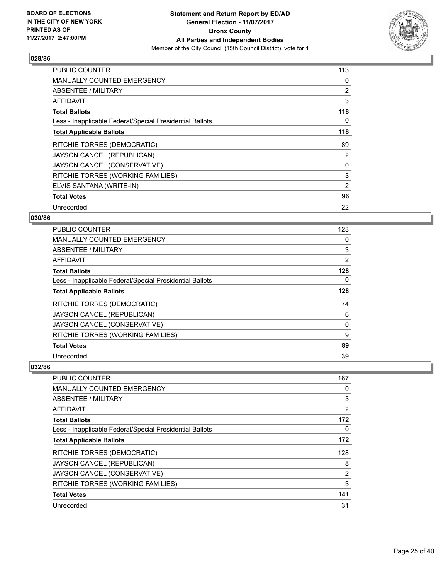

| <b>PUBLIC COUNTER</b>                                    | 113 |
|----------------------------------------------------------|-----|
| <b>MANUALLY COUNTED EMERGENCY</b>                        | 0   |
| ABSENTEE / MILITARY                                      | 2   |
| AFFIDAVIT                                                | 3   |
| <b>Total Ballots</b>                                     | 118 |
| Less - Inapplicable Federal/Special Presidential Ballots | 0   |
| <b>Total Applicable Ballots</b>                          | 118 |
| RITCHIE TORRES (DEMOCRATIC)                              | 89  |
| JAYSON CANCEL (REPUBLICAN)                               | 2   |
| JAYSON CANCEL (CONSERVATIVE)                             | 0   |
| RITCHIE TORRES (WORKING FAMILIES)                        | 3   |
| ELVIS SANTANA (WRITE-IN)                                 | 2   |
| <b>Total Votes</b>                                       | 96  |
| Unrecorded                                               | 22  |

# **030/86**

| PUBLIC COUNTER                                           | 123 |
|----------------------------------------------------------|-----|
| <b>MANUALLY COUNTED EMERGENCY</b>                        | 0   |
| ABSENTEE / MILITARY                                      | 3   |
| AFFIDAVIT                                                | 2   |
| <b>Total Ballots</b>                                     | 128 |
| Less - Inapplicable Federal/Special Presidential Ballots | 0   |
| <b>Total Applicable Ballots</b>                          | 128 |
| RITCHIE TORRES (DEMOCRATIC)                              | 74  |
| JAYSON CANCEL (REPUBLICAN)                               | 6   |
| JAYSON CANCEL (CONSERVATIVE)                             | 0   |
| RITCHIE TORRES (WORKING FAMILIES)                        | 9   |
| <b>Total Votes</b>                                       | 89  |
| Unrecorded                                               | 39  |

| PUBLIC COUNTER                                           | 167            |
|----------------------------------------------------------|----------------|
| <b>MANUALLY COUNTED EMERGENCY</b>                        | 0              |
| ABSENTEE / MILITARY                                      | 3              |
| AFFIDAVIT                                                | 2              |
| <b>Total Ballots</b>                                     | 172            |
| Less - Inapplicable Federal/Special Presidential Ballots | 0              |
| <b>Total Applicable Ballots</b>                          | 172            |
| RITCHIE TORRES (DEMOCRATIC)                              | 128            |
| JAYSON CANCEL (REPUBLICAN)                               | 8              |
| JAYSON CANCEL (CONSERVATIVE)                             | $\overline{2}$ |
| RITCHIE TORRES (WORKING FAMILIES)                        | 3              |
| <b>Total Votes</b>                                       | 141            |
| Unrecorded                                               | 31             |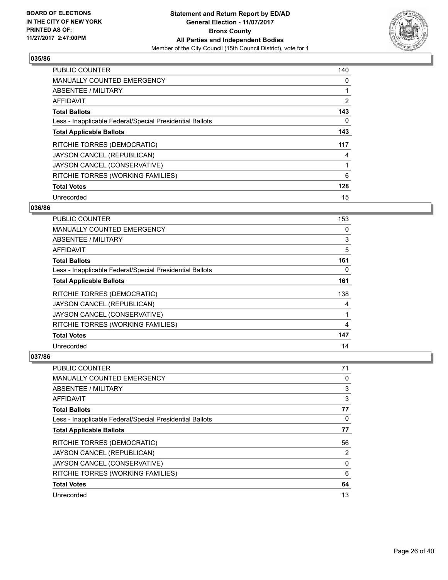

| <b>PUBLIC COUNTER</b>                                    | 140            |
|----------------------------------------------------------|----------------|
| <b>MANUALLY COUNTED EMERGENCY</b>                        | 0              |
| ABSENTEE / MILITARY                                      |                |
| <b>AFFIDAVIT</b>                                         | $\overline{2}$ |
| <b>Total Ballots</b>                                     | 143            |
| Less - Inapplicable Federal/Special Presidential Ballots | 0              |
| <b>Total Applicable Ballots</b>                          | 143            |
| RITCHIE TORRES (DEMOCRATIC)                              | 117            |
| JAYSON CANCEL (REPUBLICAN)                               | 4              |
| JAYSON CANCEL (CONSERVATIVE)                             |                |
| RITCHIE TORRES (WORKING FAMILIES)                        | 6              |
| <b>Total Votes</b>                                       | 128            |
| Unrecorded                                               | 15             |

#### **036/86**

| <b>PUBLIC COUNTER</b>                                    | 153 |
|----------------------------------------------------------|-----|
| <b>MANUALLY COUNTED EMERGENCY</b>                        | 0   |
| ABSENTEE / MILITARY                                      | 3   |
| AFFIDAVIT                                                | 5   |
| <b>Total Ballots</b>                                     | 161 |
| Less - Inapplicable Federal/Special Presidential Ballots | 0   |
| <b>Total Applicable Ballots</b>                          | 161 |
| RITCHIE TORRES (DEMOCRATIC)                              | 138 |
| JAYSON CANCEL (REPUBLICAN)                               | 4   |
| JAYSON CANCEL (CONSERVATIVE)                             |     |
| RITCHIE TORRES (WORKING FAMILIES)                        | 4   |
| <b>Total Votes</b>                                       | 147 |
| Unrecorded                                               | 14  |

| PUBLIC COUNTER                                           | 71 |
|----------------------------------------------------------|----|
| <b>MANUALLY COUNTED EMERGENCY</b>                        | 0  |
| ABSENTEE / MILITARY                                      | 3  |
| AFFIDAVIT                                                | 3  |
| <b>Total Ballots</b>                                     | 77 |
| Less - Inapplicable Federal/Special Presidential Ballots | 0  |
| <b>Total Applicable Ballots</b>                          | 77 |
| RITCHIE TORRES (DEMOCRATIC)                              | 56 |
| JAYSON CANCEL (REPUBLICAN)                               | 2  |
| JAYSON CANCEL (CONSERVATIVE)                             | 0  |
| RITCHIE TORRES (WORKING FAMILIES)                        | 6  |
| <b>Total Votes</b>                                       | 64 |
| Unrecorded                                               | 13 |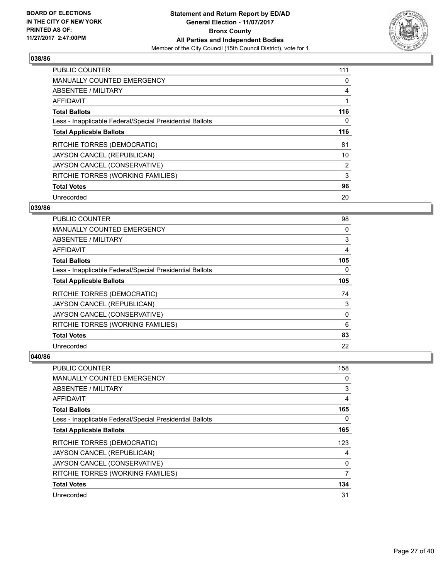

| <b>PUBLIC COUNTER</b>                                    | 111 |
|----------------------------------------------------------|-----|
| <b>MANUALLY COUNTED EMERGENCY</b>                        | 0   |
| ABSENTEE / MILITARY                                      | 4   |
| <b>AFFIDAVIT</b>                                         |     |
| <b>Total Ballots</b>                                     | 116 |
| Less - Inapplicable Federal/Special Presidential Ballots | 0   |
| <b>Total Applicable Ballots</b>                          | 116 |
| RITCHIE TORRES (DEMOCRATIC)                              | 81  |
| JAYSON CANCEL (REPUBLICAN)                               | 10  |
| JAYSON CANCEL (CONSERVATIVE)                             | 2   |
| RITCHIE TORRES (WORKING FAMILIES)                        | 3   |
| <b>Total Votes</b>                                       | 96  |
| Unrecorded                                               | 20  |

# **039/86**

| PUBLIC COUNTER                                           | 98  |
|----------------------------------------------------------|-----|
| <b>MANUALLY COUNTED EMERGENCY</b>                        | 0   |
| ABSENTEE / MILITARY                                      | 3   |
| AFFIDAVIT                                                | 4   |
| <b>Total Ballots</b>                                     | 105 |
| Less - Inapplicable Federal/Special Presidential Ballots | 0   |
| <b>Total Applicable Ballots</b>                          | 105 |
| <b>RITCHIE TORRES (DEMOCRATIC)</b>                       | 74  |
| JAYSON CANCEL (REPUBLICAN)                               | 3   |
| JAYSON CANCEL (CONSERVATIVE)                             | 0   |
| RITCHIE TORRES (WORKING FAMILIES)                        | 6   |
| <b>Total Votes</b>                                       | 83  |
| Unrecorded                                               | 22  |

| PUBLIC COUNTER                                           | 158 |
|----------------------------------------------------------|-----|
| <b>MANUALLY COUNTED EMERGENCY</b>                        | 0   |
| ABSENTEE / MILITARY                                      | 3   |
| AFFIDAVIT                                                | 4   |
| <b>Total Ballots</b>                                     | 165 |
| Less - Inapplicable Federal/Special Presidential Ballots | 0   |
| <b>Total Applicable Ballots</b>                          | 165 |
| <b>RITCHIE TORRES (DEMOCRATIC)</b>                       | 123 |
| JAYSON CANCEL (REPUBLICAN)                               | 4   |
| JAYSON CANCEL (CONSERVATIVE)                             | 0   |
| RITCHIE TORRES (WORKING FAMILIES)                        | 7   |
| <b>Total Votes</b>                                       | 134 |
| Unrecorded                                               | 31  |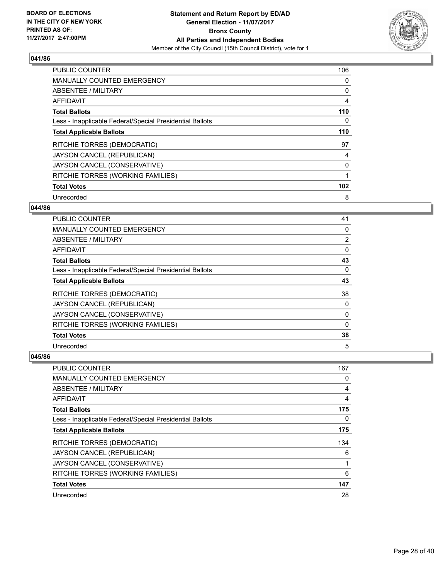

| <b>PUBLIC COUNTER</b>                                    | 106 |
|----------------------------------------------------------|-----|
| <b>MANUALLY COUNTED EMERGENCY</b>                        | 0   |
| ABSENTEE / MILITARY                                      | 0   |
| <b>AFFIDAVIT</b>                                         | 4   |
| <b>Total Ballots</b>                                     | 110 |
| Less - Inapplicable Federal/Special Presidential Ballots | 0   |
| <b>Total Applicable Ballots</b>                          | 110 |
| RITCHIE TORRES (DEMOCRATIC)                              | 97  |
| JAYSON CANCEL (REPUBLICAN)                               | 4   |
| JAYSON CANCEL (CONSERVATIVE)                             | 0   |
| RITCHIE TORRES (WORKING FAMILIES)                        | 1   |
| <b>Total Votes</b>                                       | 102 |
| Unrecorded                                               | 8   |

# **044/86**

| PUBLIC COUNTER                                           | 41             |
|----------------------------------------------------------|----------------|
| <b>MANUALLY COUNTED EMERGENCY</b>                        | 0              |
| ABSENTEE / MILITARY                                      | $\overline{2}$ |
| AFFIDAVIT                                                | 0              |
| <b>Total Ballots</b>                                     | 43             |
| Less - Inapplicable Federal/Special Presidential Ballots | 0              |
| <b>Total Applicable Ballots</b>                          | 43             |
| RITCHIE TORRES (DEMOCRATIC)                              | 38             |
| JAYSON CANCEL (REPUBLICAN)                               | 0              |
| JAYSON CANCEL (CONSERVATIVE)                             | 0              |
| RITCHIE TORRES (WORKING FAMILIES)                        | 0              |
| <b>Total Votes</b>                                       | 38             |
| Unrecorded                                               | 5              |

| PUBLIC COUNTER                                           | 167 |
|----------------------------------------------------------|-----|
| <b>MANUALLY COUNTED EMERGENCY</b>                        | 0   |
| ABSENTEE / MILITARY                                      | 4   |
| AFFIDAVIT                                                | 4   |
| <b>Total Ballots</b>                                     | 175 |
| Less - Inapplicable Federal/Special Presidential Ballots | 0   |
| <b>Total Applicable Ballots</b>                          | 175 |
| <b>RITCHIE TORRES (DEMOCRATIC)</b>                       | 134 |
| JAYSON CANCEL (REPUBLICAN)                               | 6   |
| JAYSON CANCEL (CONSERVATIVE)                             | 1   |
| RITCHIE TORRES (WORKING FAMILIES)                        | 6   |
| <b>Total Votes</b>                                       | 147 |
| Unrecorded                                               | 28  |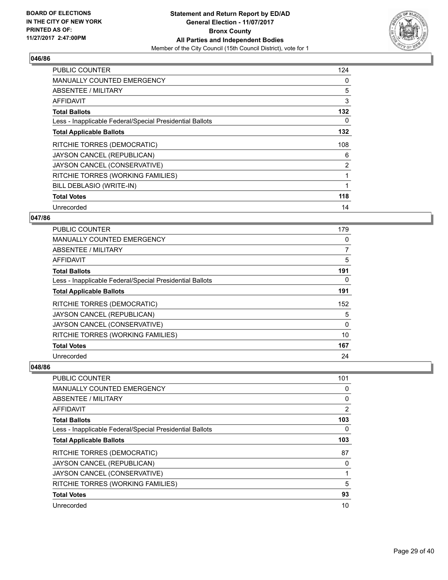

| <b>PUBLIC COUNTER</b>                                    | 124 |
|----------------------------------------------------------|-----|
| <b>MANUALLY COUNTED EMERGENCY</b>                        | 0   |
| ABSENTEE / MILITARY                                      | 5   |
| <b>AFFIDAVIT</b>                                         | 3   |
| <b>Total Ballots</b>                                     | 132 |
| Less - Inapplicable Federal/Special Presidential Ballots | 0   |
| <b>Total Applicable Ballots</b>                          | 132 |
| RITCHIE TORRES (DEMOCRATIC)                              | 108 |
| JAYSON CANCEL (REPUBLICAN)                               | 6   |
| JAYSON CANCEL (CONSERVATIVE)                             | 2   |
| RITCHIE TORRES (WORKING FAMILIES)                        |     |
| BILL DEBLASIO (WRITE-IN)                                 |     |
| <b>Total Votes</b>                                       | 118 |
| Unrecorded                                               | 14  |

# **047/86**

| PUBLIC COUNTER                                           | 179 |
|----------------------------------------------------------|-----|
| <b>MANUALLY COUNTED EMERGENCY</b>                        | 0   |
| ABSENTEE / MILITARY                                      | 7   |
| AFFIDAVIT                                                | 5   |
| <b>Total Ballots</b>                                     | 191 |
| Less - Inapplicable Federal/Special Presidential Ballots | 0   |
| <b>Total Applicable Ballots</b>                          | 191 |
| RITCHIE TORRES (DEMOCRATIC)                              | 152 |
| JAYSON CANCEL (REPUBLICAN)                               | 5   |
| JAYSON CANCEL (CONSERVATIVE)                             | 0   |
| RITCHIE TORRES (WORKING FAMILIES)                        | 10  |
| <b>Total Votes</b>                                       | 167 |
| Unrecorded                                               | 24  |

| PUBLIC COUNTER                                           | 101            |
|----------------------------------------------------------|----------------|
| <b>MANUALLY COUNTED EMERGENCY</b>                        | 0              |
| ABSENTEE / MILITARY                                      | 0              |
| AFFIDAVIT                                                | $\overline{2}$ |
| <b>Total Ballots</b>                                     | 103            |
| Less - Inapplicable Federal/Special Presidential Ballots | 0              |
| <b>Total Applicable Ballots</b>                          | 103            |
| RITCHIE TORRES (DEMOCRATIC)                              | 87             |
| JAYSON CANCEL (REPUBLICAN)                               | 0              |
| JAYSON CANCEL (CONSERVATIVE)                             |                |
| RITCHIE TORRES (WORKING FAMILIES)                        | 5              |
| <b>Total Votes</b>                                       | 93             |
| Unrecorded                                               | 10             |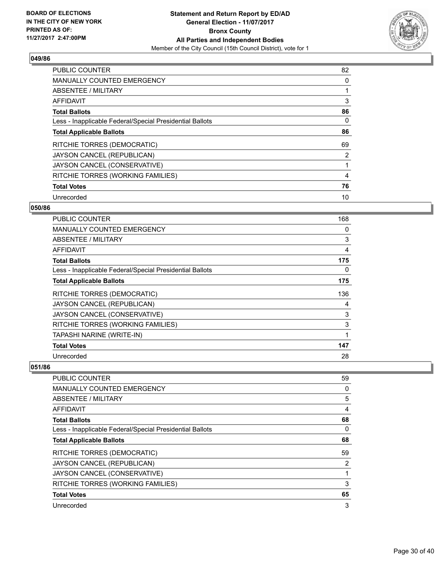

| PUBLIC COUNTER                                           | 82 |
|----------------------------------------------------------|----|
| <b>MANUALLY COUNTED EMERGENCY</b>                        | 0  |
| ABSENTEE / MILITARY                                      |    |
| <b>AFFIDAVIT</b>                                         | 3  |
| <b>Total Ballots</b>                                     | 86 |
| Less - Inapplicable Federal/Special Presidential Ballots | 0  |
| <b>Total Applicable Ballots</b>                          | 86 |
| RITCHIE TORRES (DEMOCRATIC)                              | 69 |
| JAYSON CANCEL (REPUBLICAN)                               | 2  |
| JAYSON CANCEL (CONSERVATIVE)                             |    |
| RITCHIE TORRES (WORKING FAMILIES)                        | 4  |
| <b>Total Votes</b>                                       | 76 |
| Unrecorded                                               | 10 |

#### **050/86**

| <b>PUBLIC COUNTER</b>                                    | 168 |
|----------------------------------------------------------|-----|
| <b>MANUALLY COUNTED EMERGENCY</b>                        | 0   |
| ABSENTEE / MILITARY                                      | 3   |
| <b>AFFIDAVIT</b>                                         | 4   |
| <b>Total Ballots</b>                                     | 175 |
| Less - Inapplicable Federal/Special Presidential Ballots | 0   |
| <b>Total Applicable Ballots</b>                          | 175 |
| RITCHIE TORRES (DEMOCRATIC)                              | 136 |
| JAYSON CANCEL (REPUBLICAN)                               | 4   |
| JAYSON CANCEL (CONSERVATIVE)                             | 3   |
| RITCHIE TORRES (WORKING FAMILIES)                        | 3   |
| TAPASHI NARINE (WRITE-IN)                                | 1   |
| <b>Total Votes</b>                                       | 147 |
| Unrecorded                                               | 28  |

| PUBLIC COUNTER                                           | 59 |
|----------------------------------------------------------|----|
| <b>MANUALLY COUNTED EMERGENCY</b>                        | 0  |
| ABSENTEE / MILITARY                                      | 5  |
| AFFIDAVIT                                                | 4  |
| <b>Total Ballots</b>                                     | 68 |
| Less - Inapplicable Federal/Special Presidential Ballots | 0  |
| <b>Total Applicable Ballots</b>                          | 68 |
| RITCHIE TORRES (DEMOCRATIC)                              | 59 |
| JAYSON CANCEL (REPUBLICAN)                               | 2  |
| JAYSON CANCEL (CONSERVATIVE)                             |    |
| RITCHIE TORRES (WORKING FAMILIES)                        | 3  |
| <b>Total Votes</b>                                       | 65 |
| Unrecorded                                               | 3  |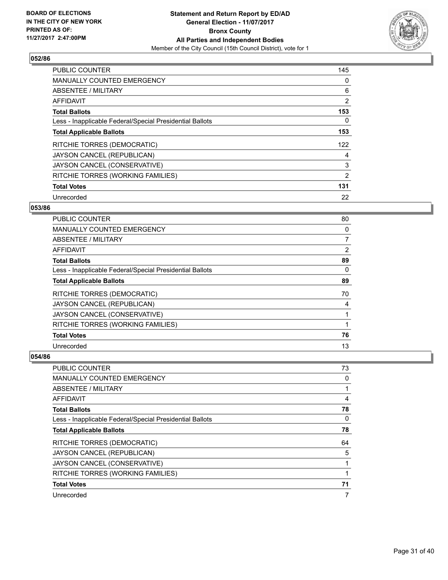

| <b>PUBLIC COUNTER</b>                                    | 145            |
|----------------------------------------------------------|----------------|
| <b>MANUALLY COUNTED EMERGENCY</b>                        | 0              |
| ABSENTEE / MILITARY                                      | 6              |
| <b>AFFIDAVIT</b>                                         | $\overline{2}$ |
| <b>Total Ballots</b>                                     | 153            |
| Less - Inapplicable Federal/Special Presidential Ballots | 0              |
| <b>Total Applicable Ballots</b>                          | 153            |
| RITCHIE TORRES (DEMOCRATIC)                              | 122            |
| JAYSON CANCEL (REPUBLICAN)                               | 4              |
| JAYSON CANCEL (CONSERVATIVE)                             | 3              |
| RITCHIE TORRES (WORKING FAMILIES)                        | 2              |
| <b>Total Votes</b>                                       | 131            |
| Unrecorded                                               | 22             |

#### **053/86**

| <b>PUBLIC COUNTER</b>                                    | 80             |
|----------------------------------------------------------|----------------|
| <b>MANUALLY COUNTED EMERGENCY</b>                        | 0              |
| ABSENTEE / MILITARY                                      | $\overline{7}$ |
| AFFIDAVIT                                                | 2              |
| <b>Total Ballots</b>                                     | 89             |
| Less - Inapplicable Federal/Special Presidential Ballots | 0              |
| <b>Total Applicable Ballots</b>                          | 89             |
| RITCHIE TORRES (DEMOCRATIC)                              | 70             |
| JAYSON CANCEL (REPUBLICAN)                               | 4              |
| JAYSON CANCEL (CONSERVATIVE)                             |                |
| RITCHIE TORRES (WORKING FAMILIES)                        |                |
| <b>Total Votes</b>                                       | 76             |
| Unrecorded                                               | 13             |

| <b>PUBLIC COUNTER</b>                                    | 73 |
|----------------------------------------------------------|----|
| <b>MANUALLY COUNTED EMERGENCY</b>                        | 0  |
| ABSENTEE / MILITARY                                      |    |
| AFFIDAVIT                                                | 4  |
| <b>Total Ballots</b>                                     | 78 |
| Less - Inapplicable Federal/Special Presidential Ballots | 0  |
| <b>Total Applicable Ballots</b>                          | 78 |
| RITCHIE TORRES (DEMOCRATIC)                              | 64 |
| JAYSON CANCEL (REPUBLICAN)                               | 5  |
| JAYSON CANCEL (CONSERVATIVE)                             |    |
| RITCHIE TORRES (WORKING FAMILIES)                        |    |
| <b>Total Votes</b>                                       | 71 |
| Unrecorded                                               | 7  |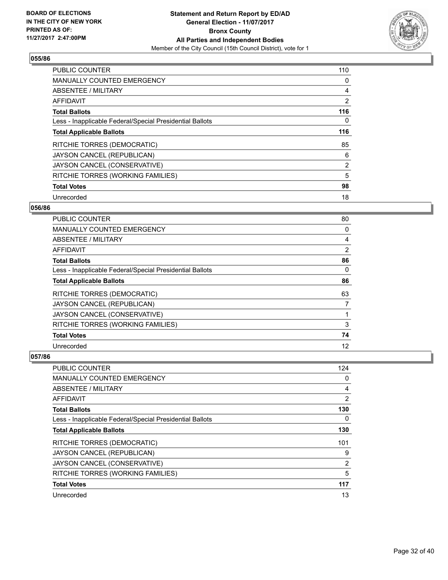

| PUBLIC COUNTER                                           | 110            |
|----------------------------------------------------------|----------------|
| <b>MANUALLY COUNTED EMERGENCY</b>                        | 0              |
| ABSENTEE / MILITARY                                      | 4              |
| <b>AFFIDAVIT</b>                                         | $\overline{2}$ |
| <b>Total Ballots</b>                                     | 116            |
| Less - Inapplicable Federal/Special Presidential Ballots | 0              |
| <b>Total Applicable Ballots</b>                          | 116            |
| RITCHIE TORRES (DEMOCRATIC)                              | 85             |
| JAYSON CANCEL (REPUBLICAN)                               | 6              |
| JAYSON CANCEL (CONSERVATIVE)                             | $\overline{2}$ |
| RITCHIE TORRES (WORKING FAMILIES)                        | 5              |
| <b>Total Votes</b>                                       | 98             |
| Unrecorded                                               | 18             |

#### **056/86**

| <b>PUBLIC COUNTER</b>                                    | 80 |
|----------------------------------------------------------|----|
| <b>MANUALLY COUNTED EMERGENCY</b>                        | 0  |
| ABSENTEE / MILITARY                                      | 4  |
| AFFIDAVIT                                                | 2  |
| <b>Total Ballots</b>                                     | 86 |
| Less - Inapplicable Federal/Special Presidential Ballots | 0  |
| <b>Total Applicable Ballots</b>                          | 86 |
| RITCHIE TORRES (DEMOCRATIC)                              | 63 |
| JAYSON CANCEL (REPUBLICAN)                               | 7  |
| JAYSON CANCEL (CONSERVATIVE)                             |    |
| RITCHIE TORRES (WORKING FAMILIES)                        | 3  |
| <b>Total Votes</b>                                       | 74 |
| Unrecorded                                               | 12 |

| <b>PUBLIC COUNTER</b>                                    | 124            |
|----------------------------------------------------------|----------------|
| <b>MANUALLY COUNTED EMERGENCY</b>                        | 0              |
| ABSENTEE / MILITARY                                      | 4              |
| AFFIDAVIT                                                | $\overline{2}$ |
| <b>Total Ballots</b>                                     | 130            |
| Less - Inapplicable Federal/Special Presidential Ballots | 0              |
| <b>Total Applicable Ballots</b>                          | 130            |
| RITCHIE TORRES (DEMOCRATIC)                              | 101            |
| JAYSON CANCEL (REPUBLICAN)                               | 9              |
| JAYSON CANCEL (CONSERVATIVE)                             | 2              |
| RITCHIE TORRES (WORKING FAMILIES)                        | 5              |
| <b>Total Votes</b>                                       | 117            |
| Unrecorded                                               | 13             |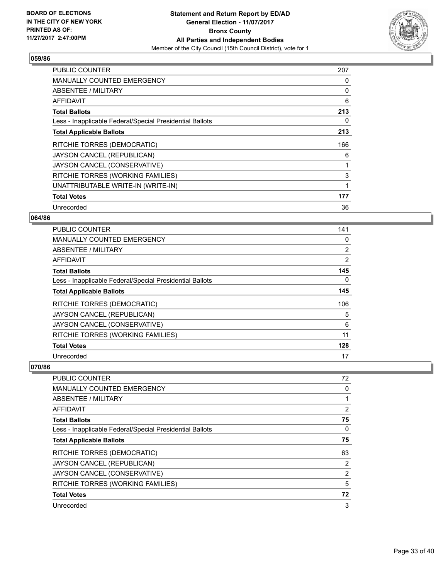

| <b>PUBLIC COUNTER</b>                                    | 207 |
|----------------------------------------------------------|-----|
| <b>MANUALLY COUNTED EMERGENCY</b>                        | 0   |
| <b>ABSENTEE / MILITARY</b>                               | 0   |
| AFFIDAVIT                                                | 6   |
| <b>Total Ballots</b>                                     | 213 |
| Less - Inapplicable Federal/Special Presidential Ballots | 0   |
| <b>Total Applicable Ballots</b>                          | 213 |
| RITCHIE TORRES (DEMOCRATIC)                              | 166 |
| JAYSON CANCEL (REPUBLICAN)                               | 6   |
| JAYSON CANCEL (CONSERVATIVE)                             |     |
| RITCHIE TORRES (WORKING FAMILIES)                        | 3   |
| UNATTRIBUTABLE WRITE-IN (WRITE-IN)                       |     |
| <b>Total Votes</b>                                       | 177 |
| Unrecorded                                               | 36  |

# **064/86**

| PUBLIC COUNTER                                           | 141 |
|----------------------------------------------------------|-----|
| <b>MANUALLY COUNTED EMERGENCY</b>                        | 0   |
| ABSENTEE / MILITARY                                      | 2   |
| AFFIDAVIT                                                | 2   |
| <b>Total Ballots</b>                                     | 145 |
| Less - Inapplicable Federal/Special Presidential Ballots | 0   |
| <b>Total Applicable Ballots</b>                          | 145 |
| RITCHIE TORRES (DEMOCRATIC)                              | 106 |
| JAYSON CANCEL (REPUBLICAN)                               | 5   |
| JAYSON CANCEL (CONSERVATIVE)                             | 6   |
| RITCHIE TORRES (WORKING FAMILIES)                        | 11  |
| <b>Total Votes</b>                                       | 128 |
| Unrecorded                                               | 17  |

| <b>PUBLIC COUNTER</b>                                    | 72             |
|----------------------------------------------------------|----------------|
| <b>MANUALLY COUNTED EMERGENCY</b>                        | 0              |
| ABSENTEE / MILITARY                                      |                |
| AFFIDAVIT                                                | 2              |
| <b>Total Ballots</b>                                     | 75             |
| Less - Inapplicable Federal/Special Presidential Ballots | 0              |
| <b>Total Applicable Ballots</b>                          | 75             |
| RITCHIE TORRES (DEMOCRATIC)                              | 63             |
| JAYSON CANCEL (REPUBLICAN)                               | 2              |
| JAYSON CANCEL (CONSERVATIVE)                             | $\overline{2}$ |
| RITCHIE TORRES (WORKING FAMILIES)                        | 5              |
| <b>Total Votes</b>                                       | 72             |
| Unrecorded                                               | 3              |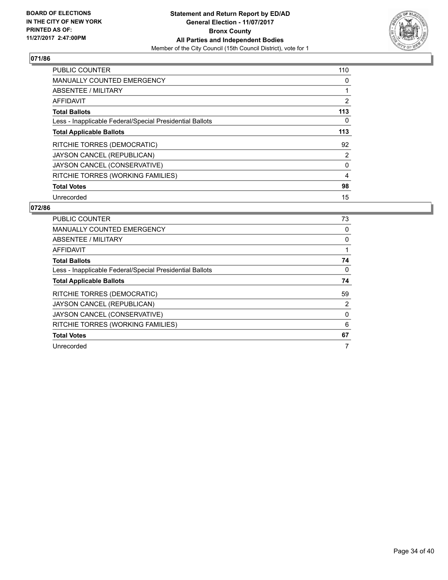

| <b>PUBLIC COUNTER</b>                                    | 110 |
|----------------------------------------------------------|-----|
| <b>MANUALLY COUNTED EMERGENCY</b>                        | 0   |
| ABSENTEE / MILITARY                                      | 1   |
| <b>AFFIDAVIT</b>                                         | 2   |
| <b>Total Ballots</b>                                     | 113 |
| Less - Inapplicable Federal/Special Presidential Ballots | 0   |
| <b>Total Applicable Ballots</b>                          | 113 |
| RITCHIE TORRES (DEMOCRATIC)                              | 92  |
| JAYSON CANCEL (REPUBLICAN)                               | 2   |
| JAYSON CANCEL (CONSERVATIVE)                             | 0   |
| RITCHIE TORRES (WORKING FAMILIES)                        | 4   |
| <b>Total Votes</b>                                       | 98  |
| Unrecorded                                               | 15  |

| <b>PUBLIC COUNTER</b>                                    | 73 |
|----------------------------------------------------------|----|
| <b>MANUALLY COUNTED EMERGENCY</b>                        | 0  |
| ABSENTEE / MILITARY                                      | 0  |
| AFFIDAVIT                                                |    |
| <b>Total Ballots</b>                                     | 74 |
| Less - Inapplicable Federal/Special Presidential Ballots | 0  |
| <b>Total Applicable Ballots</b>                          | 74 |
| RITCHIE TORRES (DEMOCRATIC)                              | 59 |
| JAYSON CANCEL (REPUBLICAN)                               | 2  |
| JAYSON CANCEL (CONSERVATIVE)                             | 0  |
| RITCHIE TORRES (WORKING FAMILIES)                        | 6  |
| <b>Total Votes</b>                                       | 67 |
| Unrecorded                                               | 7  |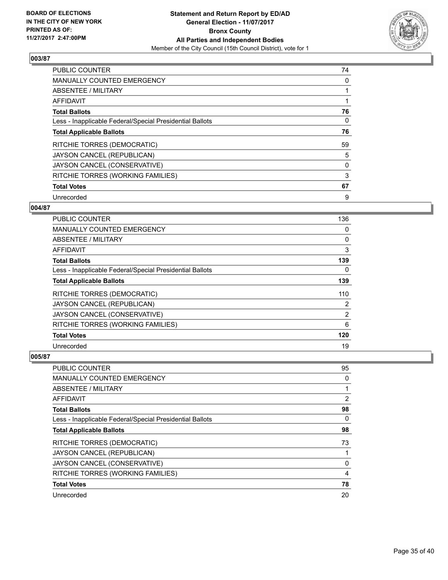

| <b>PUBLIC COUNTER</b>                                    | 74 |
|----------------------------------------------------------|----|
| <b>MANUALLY COUNTED EMERGENCY</b>                        | 0  |
| ABSENTEE / MILITARY                                      |    |
| <b>AFFIDAVIT</b>                                         |    |
| <b>Total Ballots</b>                                     | 76 |
| Less - Inapplicable Federal/Special Presidential Ballots | 0  |
| <b>Total Applicable Ballots</b>                          | 76 |
| RITCHIE TORRES (DEMOCRATIC)                              | 59 |
| JAYSON CANCEL (REPUBLICAN)                               | 5  |
| JAYSON CANCEL (CONSERVATIVE)                             | 0  |
| RITCHIE TORRES (WORKING FAMILIES)                        | 3  |
| <b>Total Votes</b>                                       | 67 |
| Unrecorded                                               | 9  |

# **004/87**

| PUBLIC COUNTER                                           | 136            |
|----------------------------------------------------------|----------------|
| <b>MANUALLY COUNTED EMERGENCY</b>                        | 0              |
| ABSENTEE / MILITARY                                      | 0              |
| AFFIDAVIT                                                | 3              |
| <b>Total Ballots</b>                                     | 139            |
| Less - Inapplicable Federal/Special Presidential Ballots | 0              |
| <b>Total Applicable Ballots</b>                          | 139            |
| RITCHIE TORRES (DEMOCRATIC)                              | 110            |
| JAYSON CANCEL (REPUBLICAN)                               | $\overline{2}$ |
| JAYSON CANCEL (CONSERVATIVE)                             | 2              |
| RITCHIE TORRES (WORKING FAMILIES)                        | 6              |
| <b>Total Votes</b>                                       | 120            |
| Unrecorded                                               | 19             |

| <b>PUBLIC COUNTER</b>                                    | 95 |
|----------------------------------------------------------|----|
| <b>MANUALLY COUNTED EMERGENCY</b>                        | 0  |
| ABSENTEE / MILITARY                                      | 1  |
| AFFIDAVIT                                                | 2  |
| <b>Total Ballots</b>                                     | 98 |
| Less - Inapplicable Federal/Special Presidential Ballots | 0  |
| <b>Total Applicable Ballots</b>                          | 98 |
| RITCHIE TORRES (DEMOCRATIC)                              | 73 |
| JAYSON CANCEL (REPUBLICAN)                               | 1  |
| JAYSON CANCEL (CONSERVATIVE)                             | 0  |
| RITCHIE TORRES (WORKING FAMILIES)                        | 4  |
| <b>Total Votes</b>                                       | 78 |
| Unrecorded                                               | 20 |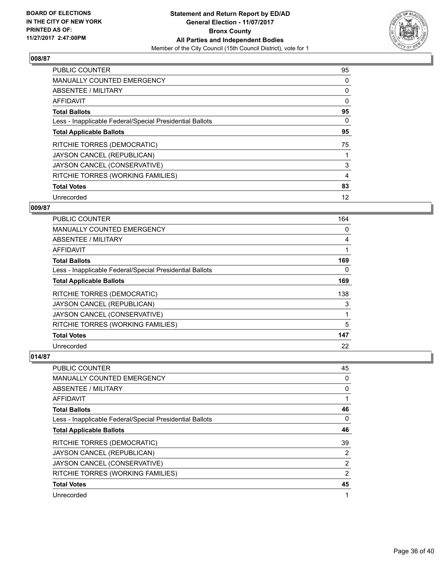

| <b>PUBLIC COUNTER</b>                                    | 95 |
|----------------------------------------------------------|----|
| <b>MANUALLY COUNTED EMERGENCY</b>                        | 0  |
| ABSENTEE / MILITARY                                      | 0  |
| AFFIDAVIT                                                | 0  |
| <b>Total Ballots</b>                                     | 95 |
| Less - Inapplicable Federal/Special Presidential Ballots | 0  |
| <b>Total Applicable Ballots</b>                          | 95 |
| RITCHIE TORRES (DEMOCRATIC)                              | 75 |
| JAYSON CANCEL (REPUBLICAN)                               |    |
| JAYSON CANCEL (CONSERVATIVE)                             | 3  |
| RITCHIE TORRES (WORKING FAMILIES)                        | 4  |
| <b>Total Votes</b>                                       | 83 |
| Unrecorded                                               | 12 |

# **009/87**

| <b>PUBLIC COUNTER</b>                                    | 164 |
|----------------------------------------------------------|-----|
| <b>MANUALLY COUNTED EMERGENCY</b>                        | 0   |
| ABSENTEE / MILITARY                                      | 4   |
| AFFIDAVIT                                                |     |
| <b>Total Ballots</b>                                     | 169 |
| Less - Inapplicable Federal/Special Presidential Ballots | 0   |
| <b>Total Applicable Ballots</b>                          | 169 |
| RITCHIE TORRES (DEMOCRATIC)                              | 138 |
| JAYSON CANCEL (REPUBLICAN)                               | 3   |
| JAYSON CANCEL (CONSERVATIVE)                             |     |
| RITCHIE TORRES (WORKING FAMILIES)                        | 5   |
| <b>Total Votes</b>                                       | 147 |
| Unrecorded                                               | 22  |

| <b>PUBLIC COUNTER</b>                                    | 45 |
|----------------------------------------------------------|----|
| <b>MANUALLY COUNTED EMERGENCY</b>                        | 0  |
| ABSENTEE / MILITARY                                      | 0  |
| AFFIDAVIT                                                | 1  |
| <b>Total Ballots</b>                                     | 46 |
| Less - Inapplicable Federal/Special Presidential Ballots | 0  |
| <b>Total Applicable Ballots</b>                          | 46 |
| RITCHIE TORRES (DEMOCRATIC)                              | 39 |
| JAYSON CANCEL (REPUBLICAN)                               | 2  |
| JAYSON CANCEL (CONSERVATIVE)                             | 2  |
| RITCHIE TORRES (WORKING FAMILIES)                        | 2  |
| <b>Total Votes</b>                                       | 45 |
| Unrecorded                                               | 1  |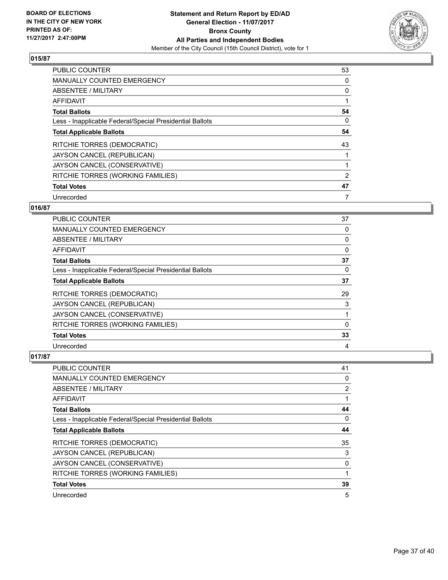

| <b>PUBLIC COUNTER</b>                                    | 53 |
|----------------------------------------------------------|----|
| <b>MANUALLY COUNTED EMERGENCY</b>                        | 0  |
| ABSENTEE / MILITARY                                      | 0  |
| <b>AFFIDAVIT</b>                                         |    |
| <b>Total Ballots</b>                                     | 54 |
| Less - Inapplicable Federal/Special Presidential Ballots | 0  |
| <b>Total Applicable Ballots</b>                          | 54 |
| RITCHIE TORRES (DEMOCRATIC)                              | 43 |
| JAYSON CANCEL (REPUBLICAN)                               |    |
| JAYSON CANCEL (CONSERVATIVE)                             |    |
| RITCHIE TORRES (WORKING FAMILIES)                        | 2  |
| <b>Total Votes</b>                                       | 47 |
| Unrecorded                                               | 7  |

# **016/87**

| <b>PUBLIC COUNTER</b>                                    | 37 |
|----------------------------------------------------------|----|
| <b>MANUALLY COUNTED EMERGENCY</b>                        | 0  |
| ABSENTEE / MILITARY                                      | 0  |
| AFFIDAVIT                                                | 0  |
| <b>Total Ballots</b>                                     | 37 |
| Less - Inapplicable Federal/Special Presidential Ballots | 0  |
| <b>Total Applicable Ballots</b>                          | 37 |
| RITCHIE TORRES (DEMOCRATIC)                              | 29 |
| JAYSON CANCEL (REPUBLICAN)                               | 3  |
| JAYSON CANCEL (CONSERVATIVE)                             |    |
| RITCHIE TORRES (WORKING FAMILIES)                        | 0  |
| <b>Total Votes</b>                                       | 33 |
| Unrecorded                                               | 4  |

| PUBLIC COUNTER                                           | 41 |
|----------------------------------------------------------|----|
| <b>MANUALLY COUNTED EMERGENCY</b>                        | 0  |
| ABSENTEE / MILITARY                                      | 2  |
| AFFIDAVIT                                                | 1  |
| <b>Total Ballots</b>                                     | 44 |
| Less - Inapplicable Federal/Special Presidential Ballots | 0  |
| <b>Total Applicable Ballots</b>                          | 44 |
| RITCHIE TORRES (DEMOCRATIC)                              | 35 |
| JAYSON CANCEL (REPUBLICAN)                               | 3  |
| JAYSON CANCEL (CONSERVATIVE)                             | 0  |
| RITCHIE TORRES (WORKING FAMILIES)                        | 1  |
| <b>Total Votes</b>                                       | 39 |
| Unrecorded                                               | 5  |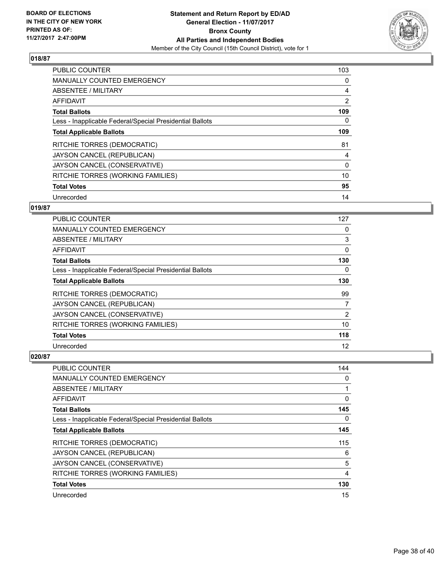

| <b>PUBLIC COUNTER</b>                                    | 103            |
|----------------------------------------------------------|----------------|
| <b>MANUALLY COUNTED EMERGENCY</b>                        | 0              |
| ABSENTEE / MILITARY                                      | 4              |
| <b>AFFIDAVIT</b>                                         | $\overline{2}$ |
| <b>Total Ballots</b>                                     | 109            |
| Less - Inapplicable Federal/Special Presidential Ballots | 0              |
| <b>Total Applicable Ballots</b>                          | 109            |
| RITCHIE TORRES (DEMOCRATIC)                              | 81             |
| JAYSON CANCEL (REPUBLICAN)                               | 4              |
| JAYSON CANCEL (CONSERVATIVE)                             | 0              |
| RITCHIE TORRES (WORKING FAMILIES)                        | 10             |
| <b>Total Votes</b>                                       | 95             |
| Unrecorded                                               | 14             |

# **019/87**

| PUBLIC COUNTER                                           | 127 |
|----------------------------------------------------------|-----|
| <b>MANUALLY COUNTED EMERGENCY</b>                        | 0   |
| ABSENTEE / MILITARY                                      | 3   |
| AFFIDAVIT                                                | 0   |
| <b>Total Ballots</b>                                     | 130 |
| Less - Inapplicable Federal/Special Presidential Ballots | 0   |
| <b>Total Applicable Ballots</b>                          | 130 |
| RITCHIE TORRES (DEMOCRATIC)                              | 99  |
| JAYSON CANCEL (REPUBLICAN)                               | 7   |
| JAYSON CANCEL (CONSERVATIVE)                             | 2   |
| RITCHIE TORRES (WORKING FAMILIES)                        | 10  |
| <b>Total Votes</b>                                       | 118 |
| Unrecorded                                               | 12  |

| <b>PUBLIC COUNTER</b>                                    | 144 |
|----------------------------------------------------------|-----|
| <b>MANUALLY COUNTED EMERGENCY</b>                        | 0   |
| ABSENTEE / MILITARY                                      |     |
| AFFIDAVIT                                                | 0   |
| <b>Total Ballots</b>                                     | 145 |
| Less - Inapplicable Federal/Special Presidential Ballots | 0   |
| <b>Total Applicable Ballots</b>                          | 145 |
| RITCHIE TORRES (DEMOCRATIC)                              | 115 |
| JAYSON CANCEL (REPUBLICAN)                               | 6   |
| JAYSON CANCEL (CONSERVATIVE)                             | 5   |
| RITCHIE TORRES (WORKING FAMILIES)                        | 4   |
| <b>Total Votes</b>                                       | 130 |
| Unrecorded                                               | 15  |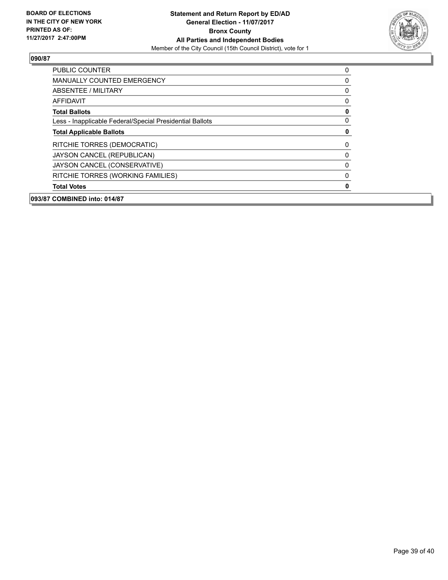

| <b>PUBLIC COUNTER</b>                                    | 0 |
|----------------------------------------------------------|---|
| <b>MANUALLY COUNTED EMERGENCY</b>                        | 0 |
| ABSENTEE / MILITARY                                      | 0 |
| <b>AFFIDAVIT</b>                                         | 0 |
| <b>Total Ballots</b>                                     | 0 |
| Less - Inapplicable Federal/Special Presidential Ballots | 0 |
| <b>Total Applicable Ballots</b>                          | 0 |
| RITCHIE TORRES (DEMOCRATIC)                              | 0 |
| JAYSON CANCEL (REPUBLICAN)                               | 0 |
| JAYSON CANCEL (CONSERVATIVE)                             | 0 |
| RITCHIE TORRES (WORKING FAMILIES)                        | 0 |
| <b>Total Votes</b>                                       | 0 |
| 093/87 COMBINED into: 014/87                             |   |